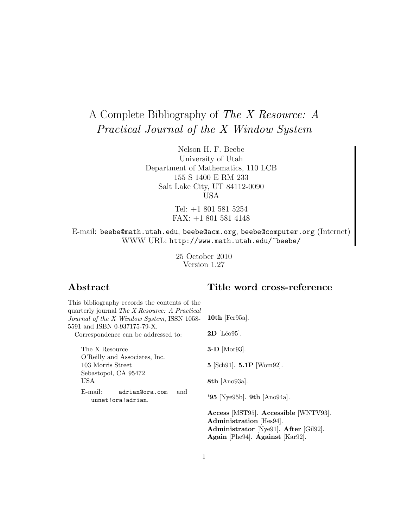# A Complete Bibliography of The X Resource: A Practical Journal of the X Window System

Nelson H. F. Beebe University of Utah Department of Mathematics, 110 LCB 155 S 1400 E RM 233 Salt Lake City, UT 84112-0090 USA

> Tel: +1 801 581 5254 FAX: +1 801 581 4148

E-mail: beebe@math.utah.edu, beebe@acm.org, beebe@computer.org (Internet) WWW URL: http://www.math.utah.edu/~beebe/

> 25 October 2010 Version 1.27

## **Abstract**

## **Title word cross-reference**

| This bibliography records the contents of the<br>quarterly journal <i>The X Resource: A Practical</i><br>Journal of the X Window System, ISSN 1058-<br>5591 and ISBN 0-937175-79-X.<br>Correspondence can be addressed to: | 10th [Fer $95a$ ].<br>$2D$ [Léo95].       |
|----------------------------------------------------------------------------------------------------------------------------------------------------------------------------------------------------------------------------|-------------------------------------------|
| The X Resource<br>O'Reilly and Associates, Inc.                                                                                                                                                                            | $3-D$ [Mor93].                            |
| 103 Morris Street<br>Sebastopol, CA 95472                                                                                                                                                                                  | $5$ [Sch91]. $5.1P$ [Wom92].              |
| USA                                                                                                                                                                                                                        | 8th [Ano93a].                             |
| $E$ -mail:<br>and<br>adrian@ora.com<br>uunet!ora!adrian.                                                                                                                                                                   | <b>'95</b> [Nye95b]. <b>9th</b> [Ano94a]. |
|                                                                                                                                                                                                                            | Access [MST95]. Accessible [WNTV93].      |
|                                                                                                                                                                                                                            | Administration [Hes94].                   |
|                                                                                                                                                                                                                            | Administrator [Nye91]. After [Gil92].     |
|                                                                                                                                                                                                                            | Again [Phe94]. Against [Kar92].           |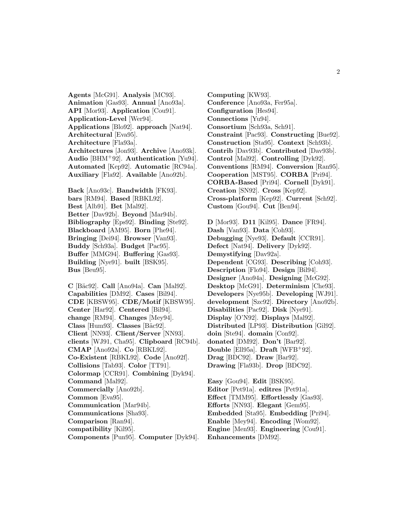**Agents** [McG91]. **Analysis** [MC93]. **Animation** [Gas93]. **Annual** [Ano93a]. **API** [Mor93]. **Application** [Cou91]. **Application-Level** [Wer94]. **Applications** [Blo92]. **approach** [Nat94]. **Architectural** [Eva95]. **Architecture** [Fla93a]. **Architectures** [Jon93]. **Archive** [Ano93k]. **Audio** [BHM<sup>+</sup>92]. **Authentication** [Yu94]. **Automated** [Kep92]. **Automatic** [RC94a]. **Auxiliary** [Fla92]. **Available** [Ano92b].

**Back** [Ano93c]. **Bandwidth** [FK93]. **bars** [RM94]. **Based** [RBKL92]. **Best** [Alb91]. **Bet** [Mal92]. **Better** [Dav92b]. **Beyond** [Mar94b]. **Bibliography** [Eps92]. **Binding** [Ste92]. **Blackboard** [AM95]. **Born** [Phe94]. **Bringing** [Dei94]. **Browser** [Van93]. **Buddy** [Sch93a]. **Budget** [Pac95]. **Buffer** [MMG94]. **Buffering** [Gas93]. **Building** [Nye91]. **built** [BSK95]. **Bus** [Beu95].

**C** [B¨ac92]. **Call** [Ano94a]. **Can** [Mal92]. **Capabilities** [DM92]. **Cases** [Bil94]. **CDE** [KBSW95]. **CDE/Motif** [KBSW95]. **Center** [Har92]. **Centered** [Bil94]. **change** [RM94]. **Changes** [Mey94]. **Class** [Hum93]. **Classes** [B¨ac92]. **Client** [NN93]. **Client/Server** [NN93]. **clients** [WJ91, Cha95]. **Clipboard** [RC94b]. **CMAP** [Ano92a]. **Co** [RBKL92]. **Co-Existent** [RBKL92]. **Code** [Ano92f]. **Collisions** [Tab93]. **Color** [TT91]. **Colormap** [CCR91]. **Combining** [Dyk94]. **Command** [Mal92]. **Commercially** [Ano92b]. **Common** [Eva95]. **Communication** [Mar94b]. **Communications** [Sha93]. **Comparison** [Ran94]. **compatibility** [Kil95]. **Components** [Pun95]. **Computer** [Dyk94].

**Computing** [KW93]. **Conference** [Ano93a, Fer95a]. **Configuration** [Hes94]. **Connections** [Yu94]. **Consortium** [Sch93a, Sch91]. **Constraint** [Pac93]. **Constructing** [Bue92]. **Construction** [Sta95]. **Context** [Sch93b]. **Contrib** [Dav93b]. **Contributed** [Dav93b]. **Control** [Mal92]. **Controlling** [Dyk92]. **Conventions** [RM94]. **Conversion** [Ran95]. **Cooperation** [MST95]. **CORBA** [Pri94]. **CORBA-Based** [Pri94]. **Cornell** [Dyk91]. **Creation** [SN92]. **Cross** [Kep92]. **Cross-platform** [Kep92]. **Current** [Sch92]. **Custom** [Gou94]. **Cut** [Ben94].

**D** [Mor93]. **D11** [Kil95]. **Dance** [FR94]. **Dash** [Van93]. **Data** [Coh93]. **Debugging** [Nye93]. **Default** [CCR91]. **Defect** [Nat94]. **Delivery** [Dyk92]. **Demystifying** [Dav92a]. **Dependent** [CG93]. **Describing** [Coh93]. **Description** [Flo94]. **Design** [Bil94]. **Designer** [Ano94a]. **Designing** [McG92]. **Desktop** [McG91]. **Determinism** [Che93]. **Developers** [Nye95b]. **Developing** [WJ91]. **development** [Szc92]. **Directory** [Ano92b]. **Disabilities** [Pac92]. **Disk** [Nye91]. **Display** [O'N92]. **Displays** [Mal92]. **Distributed** [LP93]. **Distribution** [Gil92]. **doin** [Ste94]. **domain** [Con92]. **donated** [DM92]. **Don't** [Bar92]. **Double** [Ell95a]. **Draft** [WFB<sup>+</sup>92]. **Drag** [BDC92]. **Draw** [Bar92]. **Drawing** [Fla93b]. **Drop** [BDC92].

**Easy** [Gou94]. **Edit** [BSK95]. **Editor** [Pet91a]. **editres** [Pet91a]. **Effect** [TMM95]. **Effortlessly** [Gas93]. **Efforts** [NN93]. **Elegant** [Gem95]. **Embedded** [Sta95]. **Embedding** [Pri94]. **Enable** [Mey94]. **Encoding** [Wom92]. **Engine** [Men93]. **Engineering** [Cou91]. **Enhancements** [DM92].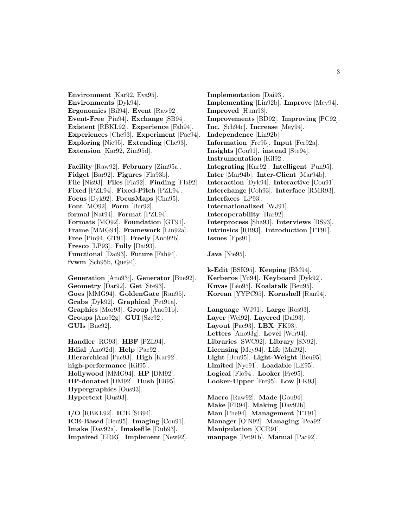**Environment** [Kar92, Eva95]. **Environments** [Dyk94]. **Ergonomics** [Bil94]. **Event** [Raw92]. **Event-Free** [Pin94]. **Exchange** [SB94]. **Existent** [RBKL92]. **Experience** [Fah94]. **Experiences** [Che93]. **Experiment** [Pac94]. **Exploring** [Nie95]. **Extending** [Che93]. **Extension** [Kar92, Zim95d].

**Facility** [Raw92]. **February** [Zim95a]. **Fidget** [Bar92]. **Figures** [Fla93b]. **File** [Nis93]. **Files** [Fla92]. **Finding** [Fla92]. **Fixed** [PZL94]. **Fixed-Pitch** [PZL94]. **Focus** [Dyk92]. **FocusMaps** [Cha95]. **Font** [MO92]. **Form** [Ber92]. **formal** [Nat94]. **Format** [PZL94]. **Formats** [MO92]. **Foundation** [GT91]. **Frame** [MMG94]. **Framework** [Lin92a]. **Free** [Pin94, GT91]. **Freely** [Ano92b]. **Fresco** [LP93]. **Fully** [Dai93]. **Functional** [Dai93]. **Future** [Fah94]. **fvwm** [Sch95b, Que94].

**Generation** [Ano93j]. **Generator** [Bue92]. **Geometry** [Dar92]. **Get** [Ste93]. **Goes** [MMG94]. **GoldenGate** [Ran95]. **Grabs** [Dyk92]. **Graphical** [Pet91a]. **Graphics** [Mor93]. **Group** [Ano91b]. **Groups** [Ano92g]. **GUI** [Szc92]. **GUIs** [Bue92].

**Handler** [RG93]. **HBF** [PZL94]. **Hdial** [Ano92d]. **Help** [Pac92]. **Hierarchical** [Pac93]. **High** [Kar92]. **high-performance** [Kil95]. **Hollywood** [MMG94]. **HP** [DM92]. **HP-donated** [DM92]. **Hush** [Eli95]. **Hypergraphics** [Ous93]. **Hypertext** [Ous93].

**I/O** [RBKL92]. **ICE** [SB94]. **ICE-Based** [Beu95]. **Imaging** [Cou91]. **Imake** [Dav92a]. **Imakefile** [Dub93]. **Impaired** [ER93]. **Implement** [New92].

**Implementation** [Dai93]. **Implementing** [Lin92b]. **Improve** [Mey94]. **Improved** [Hum93]. **Improvements** [BD92]. **Improving** [PC92]. **Inc.** [Sch94c]. **Increase** [Mey94]. **Independence** [Lin92b]. **Information** [Fre95]. **Input** [Fer92a]. **Insights** [Cou91]. **instead** [Ste94]. **Instrumentation** [Kil92]. **Integrating** [Kar92]. **Intelligent** [Pun95]. **Inter** [Mar94b]. **Inter-Client** [Mar94b]. **Interaction** [Dyk94]. **Interactive** [Cou91]. **Interchange** [Coh93]. **Interface** [RMR93]. **Interfaces** [LP93]. **Internationalized** [WJ91]. **Interoperability** [Har92]. **Interprocess** [Sha93]. **Interviews** [BS93]. **Intrinsics** [RB93]. **Introduction** [TT91]. **Issues** [Eps91].

**Java** [Nie95].

**k-Edit** [BSK95]. **Keeping** [BM94]. **Kerberos** [Yu94]. **Keyboard** [Dyk92]. **Knvas** [L´eo95]. **Koalatalk** [Beu95]. **Korean** [YYPC95]. **Kornshell** [Ran94].

**Language** [WJ91]. **Large** [Ros93]. **Layer** [Wei92]. **Layered** [Dai93]. **Layout** [Pac93]. **LBX** [FK93]. **Letters** [Ano93g]. **Level** [Wer94]. **Libraries** [SWC92]. **Library** [SN92]. **Licensing** [Mey94]. **Life** [Mal92]. **Light** [Beu95]. **Light-Weight** [Beu95]. **Limited** [Nye91]. **Loadable** [LE95]. **Logical** [Flo94]. **Looker** [Fre95]. **Looker-Upper** [Fre95]. **Low** [FK93].

**Macro** [Raw92]. **Made** [Gou94]. **Make** [FR94]. **Making** [Dav92b]. **Man** [Phe94]. **Management** [TT91]. **Manager** [O'N92]. **Managing** [Pea92]. **Manipulation** [CCR91]. **manpage** [Pet91b]. **Manual** [Pac92].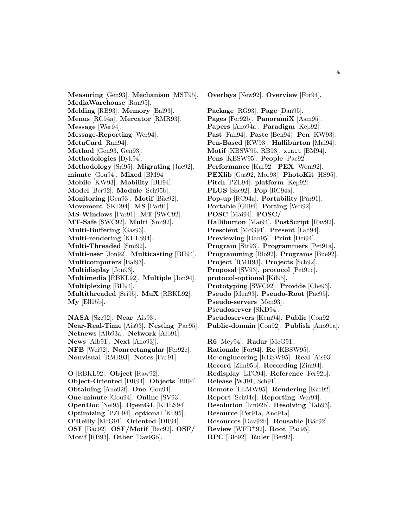**Measuring** [Gen93]. **Mechanism** [MST95]. **MediaWarehouse** [Ran95]. **Melding** [RB93]. **Memory** [Bal93]. **Menus** [RC94a]. **Mercator** [RMR93]. **Message** [Wer94]. **Message-Reporting** [Wer94]. **MetaCard** [Ran94]. **Method** [Gen93, Gen93]. **Methodologies** [Dyk94]. **Methodology** [Sri95]. **Migrating** [Jac92]. **minute** [Gou94]. **Mixed** [BM94]. **Mobile** [KW93]. **Mobility** [BH94]. **Model** [Ber92]. **Module** [Sch95b]. **Monitoring** [Gen93]. **Motif** [Bäc92]. **Movement** [SKD94]. **MS** [Par91]. **MS-Windows** [Par91]. **MT** [SWC92]. **MT-Safe** [SWC92]. **Multi** [Smi92]. **Multi-Buffering** [Gas93]. **Multi-rendering** [KHLS94]. **Multi-Threaded** [Smi92]. **Multi-user** [Jon92]. **Multicasting** [BH94]. **Multicomputers** [Bal93]. **Multidisplay** [Jon93]. **Multimedia** [RBKL92]. **Multiple** [Jon94]. **Multiplexing** [BH94]. **Multithreaded** [Sri95]. **MuX** [RBKL92]. **My** [Ell95b].

**NASA** [Szc92]. **Near** [Ais93]. **Near-Real-Time** [Ais93]. **Nesting** [Pac95]. **Netnews** [Alb93a]. **Network** [Alb91]. **News** [Alb91]. **Next** [Ano93j]. **NFB** [Wei92]. **Nonrectangular** [Fer92c]. **Nonvisual** [RMR93]. **Notes** [Par91].

**O** [RBKL92]. **Object** [Raw92]. **Object-Oriented** [DR94]. **Objects** [Bil94]. **Obtaining** [Ano92f]. **One** [Gou94]. **One-minute** [Gou94]. **Online** [SV93]. **OpenDoc** [Nel95]. **OpenGL** [KHLS94]. **Optimizing** [PZL94]. **optional** [Kil95]. **O'Reilly** [McG91]. **Oriented** [DR94]. **OSF** [B¨ac92]. **OSF/Motif** [B¨ac92]. **OSF/ Motif** [RB93]. **Other** [Dav93b].

**Overlays** [New92]. **Overview** [For94].

**Package** [RG93]. **Page** [Dan95]. **Pages** [Fer92b]. **PanoramiX** [Asm95]. **Papers** [Ano94a]. **Paradigm** [Kep92]. **Past** [Fah94]. **Paste** [Ben94]. **Pen** [KW93]. **Pen-Based** [KW93]. **Halliburton** [Mai94]. **Motif** [KBSW95, RB93]. xinit [BM94]. **Pens** [KBSW95]. **People** [Pac92]. **Performance** [Kar92]. **PEX** [Wom92]. **PEXlib** [Gas92, Mor93]. **PhotoKit** [HS95]. **Pitch** [PZL94]. **platform** [Kep92]. **PLUS** [Szc92]. **Pop** [RC94a]. **Pop-up** [RC94a]. **Portability** [Par91]. **Portable** [Gil94]. **Porting** [Wei92]. **POSC** [Mai94]. **POSC/ Halliburton** [Mai94]. **PostScript** [Rav92]. **Prescient** [McG91]. **Present** [Fah94]. **Previewing** [Dan95]. **Print** [Dei94]. **Program** [Str93]. **Programmers** [Pet91a]. **Programming** [Blo92]. **Programs** [Bue92]. **Project** [RMR93]. **Projects** [Sch92]. **Proposal** [SV93]. **protocol** [Pet91c]. **protocol-optional** [Kil95]. **Prototyping** [SWC92]. **Provide** [Che93]. **Pseudo** [Men93]. **Pseudo-Root** [Pac95]. **Pseudo-servers** [Men93]. **Pseudoserver** [SKD94]. **Pseudoservers** [Kem94]. **Public** [Con92]. **Public-domain** [Con92]. **Publish** [Ano91a].

**R6** [Mey94]. **Radar** [McG91]. **Rationale** [For94]. **Re** [KBSW95]. **Re-engineering** [KBSW95]. **Real** [Ais93]. **Record** [Zim95b]. **Recording** [Zim94]. **Redisplay** [LTC94]. **Reference** [Fer92b]. **Release** [WJ91, Sch91]. **Remote** [ELMW95]. **Rendering** [Kar92]. **Report** [Sch94c]. **Reporting** [Wer94]. **Resolution** [Lin92b]. **Resolving** [Tab93]. **Resource** [Pet91a, Ano91a]. **Resources** [Dav92b]. **Reusable** [Bäc92]. **Review** [WFB<sup>+</sup>92]. **Root** [Pac95]. **RPC** [Blo92]. **Ruler** [Ber92].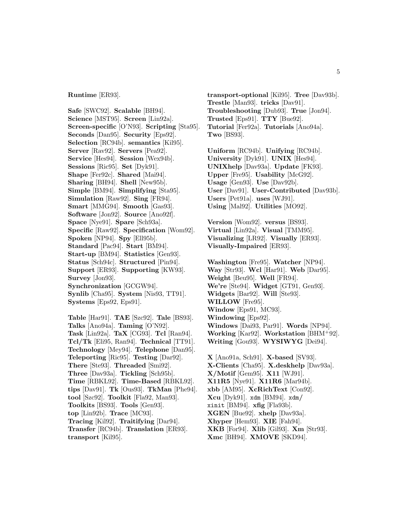**Runtime** [ER93].

**Safe** [SWC92]. **Scalable** [BH94]. **Science** [MST95]. **Screen** [Lin92a]. **Screen-specific** [O'N93]. **Scripting** [Sta95]. **Seconds** [Dan95]. **Security** [Eps92]. **Selection** [RC94b]. **semantics** [Kil95]. **Server** [Rav92]. **Servers** [Pea92]. **Service** [Hes94]. **Session** [Wex94b]. **Sessions** [Ric95]. **Set** [Dyk91]. **Shape** [Fer92c]. **Shared** [Mai94]. **Sharing** [BH94]. **Shell** [New95b]. **Simple** [BM94]. **Simplifying** [Sta95]. **Simulation** [Raw92]. **Sing** [FR94]. **Smart** [MMG94]. **Smooth** [Gas93]. **Software** [Jon92]. **Source** [Ano92f]. **Space** [Nye91]. **Spare** [Sch93a]. **Specific** [Raw92]. **Specification** [Wom92]. **Spoken** [NP94]. **Spy** [Ell95b]. **Standard** [Pac94]. **Start** [BM94]. **Start-up** [BM94]. **Statistics** [Gen93]. **Status** [Sch94c]. **Structured** [Pin94]. **Support** [ER93]. **Supporting** [KW93]. **Survey** [Jon93]. **Synchronization** [GCGW94]. **Synlib** [Cha95]. **System** [Nis93, TT91]. **Systems** [Eps92, Eps91].

**Table** [Har91]. **TAE** [Szc92]. **Tale** [BS93]. **Talks** [Ano94a]. **Taming** [O'N92]. **Task** [Lin92a]. **TaX** [CG93]. **Tcl** [Ran94]. **Tcl/Tk** [Eli95, Ran94]. **Technical** [TT91]. **Technology** [Mey94]. **Telephone** [Dan95]. **Teleporting** [Ric95]. **Testing** [Dar92]. **There** [Ste93]. **Threaded** [Smi92]. **Three** [Dav93a]. **Tickling** [Sch95b]. **Time** [RBKL92]. **Time-Based** [RBKL92]. **tips** [Dav91]. **Tk** [Ous93]. **TkMan** [Phe94]. **tool** [Szc92]. **Toolkit** [Fla92, Man93]. **Toolkits** [BS93]. **Tools** [Gen93]. **top** [Lin92b]. **Trace** [MC93]. **Tracing** [Kil92]. **Traitifying** [Dar94]. **Transfer** [RC94b]. **Translation** [ER93]. **transport** [Kil95].

**transport-optional** [Kil95]. **Tree** [Dav93b]. **Trestle** [Man93]. **tricks** [Dav91]. **Troubleshooting** [Dub93]. **True** [Jon94]. **Trusted** [Eps91]. **TTY** [Bue92]. **Tutorial** [Fer92a]. **Tutorials** [Ano94a]. **Two** [BS93].

**Uniform** [RC94b]. **Unifying** [RC94b]. **University** [Dyk91]. **UNIX** [Hes94]. **UNIXhelp** [Dav93a]. **Update** [FK93]. **Upper** [Fre95]. **Usability** [McG92]. **Usage** [Gen93]. **Use** [Dav92b]. **User** [Dav91]. **User-Contributed** [Dav93b]. **Users** [Pet91a]. **uses** [WJ91]. **Using** [Mal92]. **Utilities** [MO92].

**Version** [Wom92]. **versus** [BS93]. **Virtual** [Lin92a]. **Visual** [TMM95]. **Visualizing** [LR92]. **Visually** [ER93]. **Visually-Impaired** [ER93].

**Washington** [Fre95]. **Watcher** [NP94]. **Way** [Str93]. **Wcl** [Har91]. **Web** [Dar95]. **Weight** [Beu95]. **Well** [FR94]. **We're** [Ste94]. **Widget** [GT91, Gen93]. **Widgets** [Bar92]. **Will** [Ste93]. **WILLOW** [Fre95]. **Window** [Eps91, MC93]. **Windowing** [Eps92]. **Windows** [Dai93, Par91]. **Words** [NP94]. **Working** [Kar92]. **Workstation** [BHM<sup>+</sup>92]. **Writing** [Gou93]. **WYSIWYG** [Dei94].

**X** [Ano91a, Sch91]. **X-based** [SV93]. **X-Clients** [Cha95]. **X.deskhelp** [Dav93a]. **X/Motif** [Gem95]. **X11** [WJ91]. **X11R5** [Nye91]. **X11R6** [Mar94b]. **xbb** [AM95]. **XcRichText** [Con92]. **Xcu** [Dyk91]. xdm [BM94]. xdm**/** xinit [BM94]. **xfig** [Fla93b]. **XGEN** [Bue92]. **xhelp** [Dav93a]. **Xhyper** [Hem93]. **XIE** [Fah94]. **XKB** [For94]. **Xlib** [Gil93]. **Xm** [Str93]. **Xmc** [BH94]. **XMOVE** [SKD94].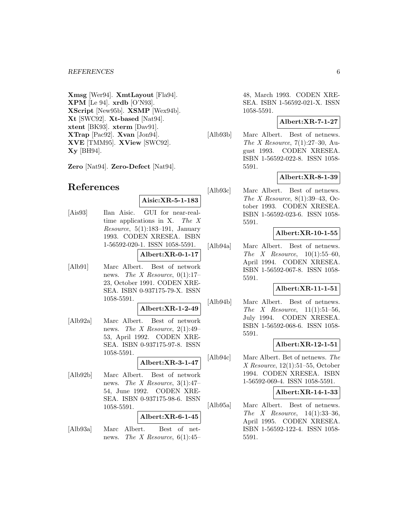**Xmsg** [Wer94]. **XmtLayout** [Fla94]. **XPM** [Le 94]. **xrdb** [O'N93]. **XScript** [New95b]. **XSMP** [Wex94b]. **Xt** [SWC92]. **Xt-based** [Nat94]. **xtent** [BK93]. **xterm** [Dav91]. **XTrap** [Pac92]. **Xvan** [Jon94]. **XVE** [TMM95]. **XView** [SWC92]. **Xy** [BH94].

**Zero** [Nat94]. **Zero-Defect** [Nat94].

## **References**

**Aisic:XR-5-1-183**

[Ais93] Ilan Aisic. GUI for near-realtime applications in X. The X Resource, 5(1):183–191, January 1993. CODEN XRESEA. ISBN 1-56592-020-1. ISSN 1058-5591.

**Albert:XR-0-1-17**

[Alb91] Marc Albert. Best of network news. The X Resource,  $0(1):17-$ 23, October 1991. CODEN XRE-SEA. ISBN 0-937175-79-X. ISSN 1058-5591.

#### **Albert:XR-1-2-49**

[Alb92a] Marc Albert. Best of network news. The X Resource,  $2(1):49-$ 53, April 1992. CODEN XRE-SEA. ISBN 0-937175-97-8. ISSN 1058-5591.

**Albert:XR-3-1-47**

[Alb92b] Marc Albert. Best of network news. The X Resource,  $3(1):47-$ 54, June 1992. CODEN XRE-SEA. ISBN 0-937175-98-6. ISSN 1058-5591.

### **Albert:XR-6-1-45**

[Alb93a] Marc Albert. Best of netnews. The X Resource,  $6(1):45-$ 

48, March 1993. CODEN XRE-SEA. ISBN 1-56592-021-X. ISSN 1058-5591.

### **Albert:XR-7-1-27**

[Alb93b] Marc Albert. Best of netnews. The X Resource,  $7(1):27-30$ , August 1993. CODEN XRESEA. ISBN 1-56592-022-8. ISSN 1058- 5591.

### **Albert:XR-8-1-39**

[Alb93c] Marc Albert. Best of netnews. The X Resource,  $8(1):39-43$ , October 1993. CODEN XRESEA. ISBN 1-56592-023-6. ISSN 1058- 5591.

### **Albert:XR-10-1-55**

[Alb94a] Marc Albert. Best of netnews. The X Resource,  $10(1):55-60$ , April 1994. CODEN XRESEA. ISBN 1-56592-067-8. ISSN 1058- 5591.

**Albert:XR-11-1-51**

[Alb94b] Marc Albert. Best of netnews.  $The X Resource, 11(1):51-56,$ July 1994. CODEN XRESEA. ISBN 1-56592-068-6. ISSN 1058- 5591.

**Albert:XR-12-1-51**

[Alb94c] Marc Albert. Bet of netnews. The X Resource, 12(1):51–55, October 1994. CODEN XRESEA. ISBN 1-56592-069-4. ISSN 1058-5591.

**Albert:XR-14-1-33**

[Alb95a] Marc Albert. Best of netnews.  $The X Resource, 14(1):33-36,$ April 1995. CODEN XRESEA. ISBN 1-56592-122-4. ISSN 1058- 5591.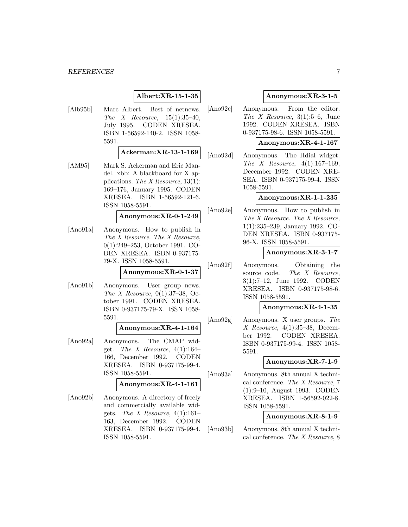#### **Albert:XR-15-1-35**

[Alb95b] Marc Albert. Best of netnews. The X Resource,  $15(1):35-40$ , July 1995. CODEN XRESEA. ISBN 1-56592-140-2. ISSN 1058- 5591.

#### **Ackerman:XR-13-1-169**

[AM95] Mark S. Ackerman and Eric Mandel. xbb: A blackboard for X applications. The X Resource,  $13(1)$ : 169–176, January 1995. CODEN XRESEA. ISBN 1-56592-121-6. ISSN 1058-5591.

#### **Anonymous:XR-0-1-249**

[Ano91a] Anonymous. How to publish in The X Resource. The X Resource, 0(1):249–253, October 1991. CO-DEN XRESEA. ISBN 0-937175- 79-X. ISSN 1058-5591.

**Anonymous:XR-0-1-37**

[Ano91b] Anonymous. User group news. The X Resource,  $0(1):37-38$ , October 1991. CODEN XRESEA. ISBN 0-937175-79-X. ISSN 1058- 5591.

#### **Anonymous:XR-4-1-164**

[Ano92a] Anonymous. The CMAP widget. The X Resource,  $4(1):164-$ 166, December 1992. CODEN XRESEA. ISBN 0-937175-99-4. ISSN 1058-5591.

#### **Anonymous:XR-4-1-161**

[Ano92b] Anonymous. A directory of freely and commercially available widgets. The X Resource,  $4(1):161-$ 163, December 1992. CODEN XRESEA. ISBN 0-937175-99-4. ISSN 1058-5591.

#### **Anonymous:XR-3-1-5**

[Ano92c] Anonymous. From the editor. The X Resource,  $3(1):5-6$ , June 1992. CODEN XRESEA. ISBN 0-937175-98-6. ISSN 1058-5591.

#### **Anonymous:XR-4-1-167**

[Ano92d] Anonymous. The Hdial widget. The X Resource,  $4(1):167-169$ , December 1992. CODEN XRE-SEA. ISBN 0-937175-99-4. ISSN 1058-5591.

#### **Anonymous:XR-1-1-235**

[Ano92e] Anonymous. How to publish in The X Resource. The X Resource, 1(1):235–239, January 1992. CO-DEN XRESEA. ISBN 0-937175- 96-X. ISSN 1058-5591.

#### **Anonymous:XR-3-1-7**

[Ano92f] Anonymous. Obtaining the source code. The X Resource, 3(1):7–12, June 1992. CODEN XRESEA. ISBN 0-937175-98-6. ISSN 1058-5591.

### **Anonymous:XR-4-1-35**

[Ano92g] Anonymous. X user groups. The X Resource, 4(1):35–38, December 1992. CODEN XRESEA. ISBN 0-937175-99-4. ISSN 1058- 5591.

#### **Anonymous:XR-7-1-9**

[Ano93a] Anonymous. 8th annual X technical conference. The X Resource, 7 (1):9–10, August 1993. CODEN XRESEA. ISBN 1-56592-022-8. ISSN 1058-5591.

#### **Anonymous:XR-8-1-9**

[Ano93b] Anonymous. 8th annual X technical conference. The X Resource, 8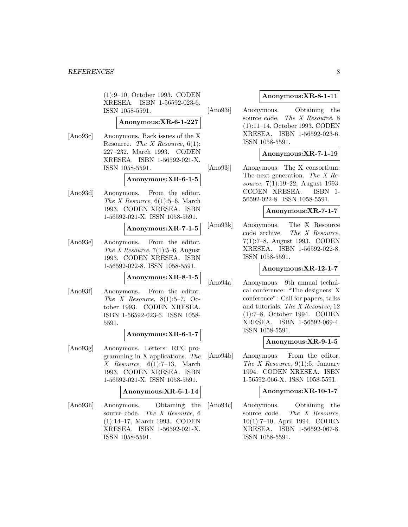(1):9–10, October 1993. CODEN XRESEA. ISBN 1-56592-023-6. ISSN 1058-5591.

#### **Anonymous:XR-6-1-227**

[Ano93c] Anonymous. Back issues of the X Resource. The X Resource,  $6(1)$ : 227–232, March 1993. CODEN XRESEA. ISBN 1-56592-021-X. ISSN 1058-5591.

### **Anonymous:XR-6-1-5**

[Ano93d] Anonymous. From the editor. The X Resource,  $6(1):5-6$ , March 1993. CODEN XRESEA. ISBN 1-56592-021-X. ISSN 1058-5591.

#### **Anonymous:XR-7-1-5**

[Ano93e] Anonymous. From the editor. The X Resource,  $7(1):5-6$ , August 1993. CODEN XRESEA. ISBN 1-56592-022-8. ISSN 1058-5591.

**Anonymous:XR-8-1-5**

[Ano93f] Anonymous. From the editor. The X Resource,  $8(1):5-7$ , October 1993. CODEN XRESEA. ISBN 1-56592-023-6. ISSN 1058- 5591.

### **Anonymous:XR-6-1-7**

[Ano93g] Anonymous. Letters: RPC programming in X applications. The  $X$  Resource, 6(1):7-13, March 1993. CODEN XRESEA. ISBN 1-56592-021-X. ISSN 1058-5591.

#### **Anonymous:XR-6-1-14**

[Ano93h] Anonymous. Obtaining the source code. The X Resource, 6 (1):14–17, March 1993. CODEN XRESEA. ISBN 1-56592-021-X. ISSN 1058-5591.

### **Anonymous:XR-8-1-11**

[Ano93i] Anonymous. Obtaining the source code. The X Resource, 8 (1):11–14, October 1993. CODEN XRESEA. ISBN 1-56592-023-6. ISSN 1058-5591.

### **Anonymous:XR-7-1-19**

[Ano93j] Anonymous. The X consortium: The next generation. The X Resource, 7(1):19-22, August 1993. CODEN XRESEA. ISBN 1- 56592-022-8. ISSN 1058-5591.

#### **Anonymous:XR-7-1-7**

[Ano93k] Anonymous. The X Resource code archive. The X Resource, 7(1):7–8, August 1993. CODEN XRESEA. ISBN 1-56592-022-8. ISSN 1058-5591.

### **Anonymous:XR-12-1-7**

[Ano94a] Anonymous. 9th annual technical conference: "The designers' X conference": Call for papers, talks and tutorials. The X Resource, 12 (1):7–8, October 1994. CODEN XRESEA. ISBN 1-56592-069-4. ISSN 1058-5591.

#### **Anonymous:XR-9-1-5**

[Ano94b] Anonymous. From the editor. The X Resource,  $9(1):5$ , January 1994. CODEN XRESEA. ISBN 1-56592-066-X. ISSN 1058-5591.

#### **Anonymous:XR-10-1-7**

[Ano94c] Anonymous. Obtaining the source code. The X Resource, 10(1):7–10, April 1994. CODEN XRESEA. ISBN 1-56592-067-8. ISSN 1058-5591.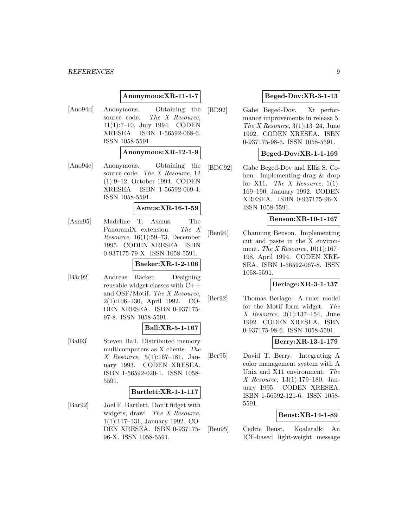#### **Anonymous:XR-11-1-7**

[Ano94d] Anonymous. Obtaining the source code. The X Resource, 11(1):7–10, July 1994. CODEN XRESEA. ISBN 1-56592-068-6. ISSN 1058-5591.

#### **Anonymous:XR-12-1-9**

[Ano94e] Anonymous. Obtaining the source code. The X Resource, 12 (1):9–12, October 1994. CODEN XRESEA. ISBN 1-56592-069-4. ISSN 1058-5591.

### **Asmus:XR-16-1-59**

[Asm95] Madeline T. Asmus. The PanoramiX extension. The X Resource, 16(1):59–73, December 1995. CODEN XRESEA. ISBN 0-937175-79-X. ISSN 1058-5591.

#### **Baeker:XR-1-2-106**

[Bäc92] Andreas Bäcker. Designing reusable widget classes with C++ and OSF/Motif. The X Resource, 2(1):106–130, April 1992. CO-DEN XRESEA. ISBN 0-937175- 97-8. ISSN 1058-5591.

### **Ball:XR-5-1-167**

[Bal93] Steven Ball. Distributed memory multicomputers as X clients. The X Resource, 5(1):167–181, January 1993. CODEN XRESEA. ISBN 1-56592-020-1. ISSN 1058- 5591.

#### **Bartlett:XR-1-1-117**

[Bar92] Joel F. Bartlett. Don't fidget with widgets, draw! The X Resource, 1(1):117–131, January 1992. CO-DEN XRESEA. ISBN 0-937175- 96-X. ISSN 1058-5591.

#### **Beged-Dov:XR-3-1-13**

[BD92] Gabe Beged-Dov. Xt performance improvements in release 5. The X Resource,  $3(1):13-24$ , June 1992. CODEN XRESEA. ISBN 0-937175-98-6. ISSN 1058-5591.

### **Beged-Dov:XR-1-1-169**

[BDC92] Gabe Beged-Dov and Ellis S. Cohen. Implementing drag & drop for X11. The X Resource,  $1(1)$ : 169–190, January 1992. CODEN XRESEA. ISBN 0-937175-96-X. ISSN 1058-5591.

#### **Benson:XR-10-1-167**

[Ben94] Channing Benson. Implementing cut and paste in the X environment. The X Resource,  $10(1):167-$ 198, April 1994. CODEN XRE-SEA. ISBN 1-56592-067-8. ISSN 1058-5591.

### **Berlage:XR-3-1-137**

[Ber92] Thomas Berlage. A ruler model for the Motif form widget. The X Resource, 3(1):137–154, June 1992. CODEN XRESEA. ISBN 0-937175-98-6. ISSN 1058-5591.

#### **Berry:XR-13-1-179**

[Ber95] David T. Berry. Integrating A color management system with A Unix and X11 environment. The X Resource, 13(1):179–180, January 1995. CODEN XRESEA. ISBN 1-56592-121-6. ISSN 1058- 5591.

#### **Beust:XR-14-1-89**

[Beu95] Cedric Beust. Koalatalk: An ICE-based light-weight message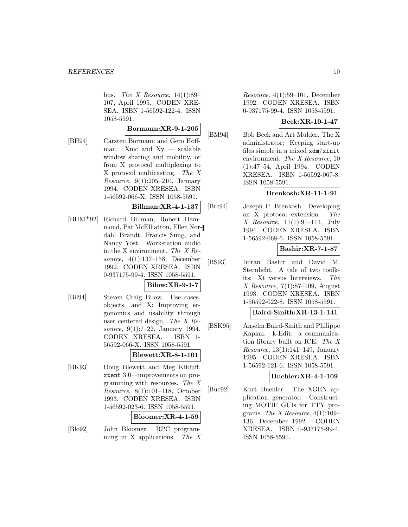bus. The X Resource,  $14(1):89-$ 107, April 1995. CODEN XRE-SEA. ISBN 1-56592-122-4. ISSN 1058-5591.

#### **Bormann:XR-9-1-205**

[BH94] Carsten Bormann and Gero Hoffman. Xmc and  $X_y$  — scalable window sharing and mobility, or from X protocol multiplexing to X protocol multicasting. The X *Resource*,  $9(1):205-210$ , January 1994. CODEN XRESEA. ISBN 1-56592-066-X. ISSN 1058-5591.

**Billman:XR-4-1-137**

[BHM<sup>+</sup>92] Richard Billman, Robert Hammond, Pat McElhatton, Ellen Nordahl Brandt, Francis Sung, and Nancy Yost. Workstation audio in the X environment. The X Resource, 4(1):137–158, December 1992. CODEN XRESEA. ISBN 0-937175-99-4. ISSN 1058-5591.

$$
Bilow:XR-9-1-7
$$

[Bil94] Steven Craig Bilow. Use cases, objects, and X: Improving ergonomics and usability through user centered design. The X Resource, 9(1):7–22, January 1994. CODEN XRESEA. ISBN 1- 56592-066-X. ISSN 1058-5591.

### **Blewett:XR-8-1-101**

[BK93] Doug Blewett and Meg Kilduff. xtent 3.0—improvements on programming with resources. The X Resource, 8(1):101–118, October 1993. CODEN XRESEA. ISBN 1-56592-023-6. ISSN 1058-5591.

### **Bloomer:XR-4-1-59**

[Blo92] John Bloomer. RPC programming in X applications. The X

Resource, 4(1):59–101, December 1992. CODEN XRESEA. ISBN 0-937175-99-4. ISSN 1058-5591.

### **Beck:XR-10-1-47**

[BM94] Bob Beck and Art Mulder. The X administrator: Keeping start-up files simple in a mixed xdm/xinit environment. The X Resource, 10 (1):47–54, April 1994. CODEN XRESEA. ISBN 1-56592-067-8. ISSN 1058-5591.

### **Brenkosh:XR-11-1-91**

[Bre94] Joseph P. Brenkosh. Developing an X protocol extension. The X Resource, 11(1):91–114, July 1994. CODEN XRESEA. ISBN 1-56592-068-6. ISSN 1058-5591.

**Bashir:XR-7-1-87**

[BS93] Imran Bashir and David M. Sternlicht. A tale of two toolkits: Xt versus Interviews. The X Resource,  $7(1)$ :87-109, August 1993. CODEN XRESEA. ISBN 1-56592-022-8. ISSN 1058-5591.

### **Baird-Smith:XR-13-1-141**

[BSK95] Anselm Baird-Smith and Philippe Kaplan. k-Edit: a communication library built on ICE. The X Resource, 13(1):141–149, January 1995. CODEN XRESEA. ISBN 1-56592-121-6. ISSN 1058-5591.

### **Buehler:XR-4-1-109**

[Bue92] Kurt Buehler. The XGEN application generator: Constructing MOTIF GUIs for TTY programs. The X Resource,  $4(1):109-$ 136, December 1992. CODEN XRESEA. ISBN 0-937175-99-4. ISSN 1058-5591.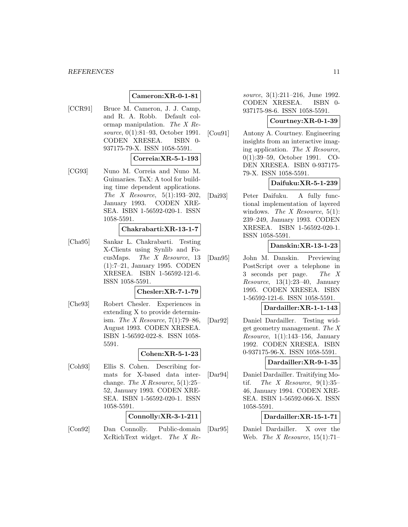#### **Cameron:XR-0-1-81**

[CCR91] Bruce M. Cameron, J. J. Camp, and R. A. Robb. Default colormap manipulation. The X Resource, 0(1):81–93, October 1991. CODEN XRESEA. ISBN 0- 937175-79-X. ISSN 1058-5591.

#### **Correia:XR-5-1-193**

[CG93] Nuno M. Correia and Nuno M. Guimarães. TaX: A tool for building time dependent applications. The X Resource,  $5(1):193-202$ , January 1993. CODEN XRE-SEA. ISBN 1-56592-020-1. ISSN 1058-5591.

### **Chakrabarti:XR-13-1-7**

[Cha95] Sankar L. Chakrabarti. Testing X-Clients using Synlib and FocusMaps. The X Resource, 13 (1):7–21, January 1995. CODEN XRESEA. ISBN 1-56592-121-6. ISSN 1058-5591.

### **Chesler:XR-7-1-79**

[Che93] Robert Chesler. Experiences in extending X to provide determinism. The X Resource,  $7(1)$ :79-86, August 1993. CODEN XRESEA. ISBN 1-56592-022-8. ISSN 1058- 5591.

#### **Cohen:XR-5-1-23**

[Coh93] Ellis S. Cohen. Describing formats for X-based data interchange. The X Resource,  $5(1):25-$ 52, January 1993. CODEN XRE-SEA. ISBN 1-56592-020-1. ISSN 1058-5591.

### **Connolly:XR-3-1-211**

[Con92] Dan Connolly. Public-domain XcRichText widget. The X Re-

source, 3(1):211-216, June 1992. CODEN XRESEA. ISBN 0- 937175-98-6. ISSN 1058-5591.

#### **Courtney:XR-0-1-39**

[Cou91] Antony A. Courtney. Engineering insights from an interactive imaging application. The X Resource, 0(1):39–59, October 1991. CO-DEN XRESEA. ISBN 0-937175- 79-X. ISSN 1058-5591.

### **Daifuku:XR-5-1-239**

[Dai93] Peter Daifuku. A fully functional implementation of layered windows. The X Resource,  $5(1)$ : 239–249, January 1993. CODEN XRESEA. ISBN 1-56592-020-1. ISSN 1058-5591.

### **Danskin:XR-13-1-23**

[Dan95] John M. Danskin. Previewing PostScript over a telephone in 3 seconds per page. The X Resource,  $13(1):23-40$ , January 1995. CODEN XRESEA. ISBN 1-56592-121-6. ISSN 1058-5591.

### **Dardailler:XR-1-1-143**

[Dar92] Daniel Dardailler. Testing widget geometry management. The X Resource,  $1(1):143-156$ , January 1992. CODEN XRESEA. ISBN 0-937175-96-X. ISSN 1058-5591.

#### **Dardailler:XR-9-1-35**

[Dar94] Daniel Dardailler. Traitifying Motif. The X Resource,  $9(1):35-$ 46, January 1994. CODEN XRE-SEA. ISBN 1-56592-066-X. ISSN 1058-5591.

### **Dardailler:XR-15-1-71**

[Dar95] Daniel Dardailler. X over the Web. The X Resource,  $15(1):71-$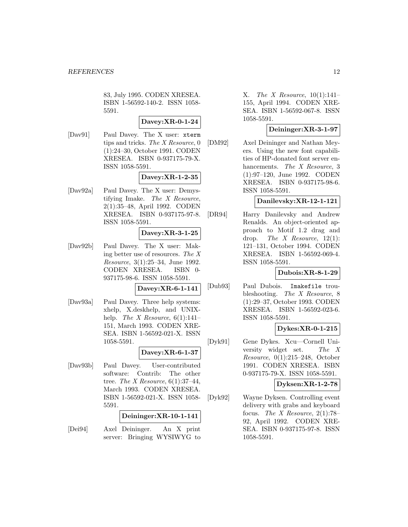83, July 1995. CODEN XRESEA. ISBN 1-56592-140-2. ISSN 1058- 5591.

#### **Davey:XR-0-1-24**

[Dav91] Paul Davey. The X user: xterm tips and tricks. The X Resource, 0 (1):24–30, October 1991. CODEN XRESEA. ISBN 0-937175-79-X. ISSN 1058-5591.

### **Davey:XR-1-2-35**

[Dav92a] Paul Davey. The X user: Demystifying Imake. The X Resource, 2(1):35–48, April 1992. CODEN XRESEA. ISBN 0-937175-97-8. ISSN 1058-5591.

#### **Davey:XR-3-1-25**

[Dav92b] Paul Davey. The X user: Making better use of resources. The X Resource, 3(1):25–34, June 1992. CODEN XRESEA. ISBN 0- 937175-98-6. ISSN 1058-5591.

### **Davey:XR-6-1-141**

[Dav93a] Paul Davey. Three help systems: xhelp, X.deskhelp, and UNIXhelp. The X Resource,  $6(1):141-$ 151, March 1993. CODEN XRE-SEA. ISBN 1-56592-021-X. ISSN 1058-5591.

### **Davey:XR-6-1-37**

[Dav93b] Paul Davey. User-contributed software: Contrib: The other tree. The X Resource,  $6(1):37-44$ , March 1993. CODEN XRESEA. ISBN 1-56592-021-X. ISSN 1058- 5591.

#### **Deininger:XR-10-1-141**

[Dei94] Axel Deininger. An X print server: Bringing WYSIWYG to X. The X Resource,  $10(1):141-$ 155, April 1994. CODEN XRE-SEA. ISBN 1-56592-067-8. ISSN 1058-5591.

### **Deininger:XR-3-1-97**

[DM92] Axel Deininger and Nathan Meyers. Using the new font capabilities of HP-donated font server enhancements. The X Resource, 3 (1):97–120, June 1992. CODEN XRESEA. ISBN 0-937175-98-6. ISSN 1058-5591.

### **Danilevsky:XR-12-1-121**

[DR94] Harry Danilevsky and Andrew Renalds. An object-oriented approach to Motif 1.2 drag and drop. The X Resource,  $12(1)$ : 121–131, October 1994. CODEN XRESEA. ISBN 1-56592-069-4. ISSN 1058-5591.

#### **Dubois:XR-8-1-29**

[Dub93] Paul Dubois. Imakefile troubleshooting. The X Resource, 8 (1):29–37, October 1993. CODEN XRESEA. ISBN 1-56592-023-6. ISSN 1058-5591.

### **Dykes:XR-0-1-215**

[Dyk91] Gene Dykes. Xcu—Cornell University widget set. The X Resource, 0(1):215–248, October 1991. CODEN XRESEA. ISBN 0-937175-79-X. ISSN 1058-5591.

#### **Dyksen:XR-1-2-78**

[Dyk92] Wayne Dyksen. Controlling event delivery with grabs and keyboard focus. The X Resource,  $2(1)$ :78– 92, April 1992. CODEN XRE-SEA. ISBN 0-937175-97-8. ISSN 1058-5591.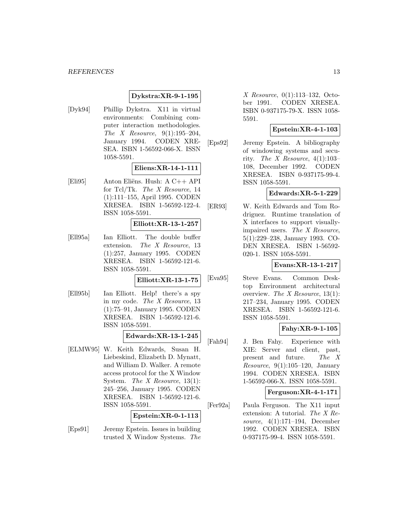#### **Dykstra:XR-9-1-195**

[Dyk94] Phillip Dykstra. X11 in virtual environments: Combining computer interaction methodologies. The X Resource,  $9(1):195-204$ , January 1994. CODEN XRE-SEA. ISBN 1-56592-066-X. ISSN 1058-5591.

**Eliens:XR-14-1-111**

[Eli95] Anton Eliëns. Hush: A C++ API for Tcl/Tk. The X Resource, 14 (1):111–155, April 1995. CODEN XRESEA. ISBN 1-56592-122-4. ISSN 1058-5591.

#### **Elliott:XR-13-1-257**

[Ell95a] Ian Elliott. The double buffer extension. The X Resource, 13 (1):257, January 1995. CODEN XRESEA. ISBN 1-56592-121-6. ISSN 1058-5591.

**Elliott:XR-13-1-75**

[Ell95b] Ian Elliott. Help! there's a spy in my code. The X Resource, 13 (1):75–91, January 1995. CODEN XRESEA. ISBN 1-56592-121-6. ISSN 1058-5591.

### **Edwards:XR-13-1-245**

[ELMW95] W. Keith Edwards, Susan H. Liebeskind, Elizabeth D. Mynatt, and William D. Walker. A remote access protocol for the X Window System. The X Resource,  $13(1)$ : 245–256, January 1995. CODEN XRESEA. ISBN 1-56592-121-6. ISSN 1058-5591.

#### **Epstein:XR-0-1-113**

[Eps91] Jeremy Epstein. Issues in building trusted X Window Systems. The

X Resource, 0(1):113–132, October 1991. CODEN XRESEA. ISBN 0-937175-79-X. ISSN 1058- 5591.

#### **Epstein:XR-4-1-103**

[Eps92] Jeremy Epstein. A bibliography of windowing systems and security. The X Resource,  $4(1):103-$ 108, December 1992. CODEN XRESEA. ISBN 0-937175-99-4. ISSN 1058-5591.

### **Edwards:XR-5-1-229**

[ER93] W. Keith Edwards and Tom Rodriguez. Runtime translation of X interfaces to support visuallyimpaired users. The X Resource, 5(1):229–238, January 1993. CO-DEN XRESEA. ISBN 1-56592- 020-1. ISSN 1058-5591.

### **Evans:XR-13-1-217**

[Eva95] Steve Evans. Common Desktop Environment architectural overview. The X Resource,  $13(1)$ : 217–234, January 1995. CODEN XRESEA. ISBN 1-56592-121-6. ISSN 1058-5591.

### **Fahy:XR-9-1-105**

[Fah94] J. Ben Fahy. Experience with XIE: Server and client, past, present and future. The X Resource,  $9(1):105-120$ , January 1994. CODEN XRESEA. ISBN 1-56592-066-X. ISSN 1058-5591.

**Ferguson:XR-4-1-171**

[Fer92a] Paula Ferguson. The X11 input extension: A tutorial. The X Resource, 4(1):171–194, December 1992. CODEN XRESEA. ISBN 0-937175-99-4. ISSN 1058-5591.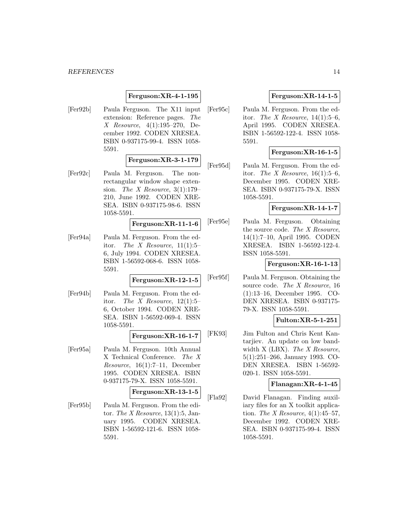#### **Ferguson:XR-4-1-195**

[Fer92b] Paula Ferguson. The X11 input extension: Reference pages. The X Resource, 4(1):195–270, December 1992. CODEN XRESEA. ISBN 0-937175-99-4. ISSN 1058- 5591.

#### **Ferguson:XR-3-1-179**

[Fer92c] Paula M. Ferguson. The nonrectangular window shape extension. The X Resource,  $3(1):179-$ 210, June 1992. CODEN XRE-SEA. ISBN 0-937175-98-6. ISSN 1058-5591.

#### **Ferguson:XR-11-1-6**

[Fer94a] Paula M. Ferguson. From the editor. The X Resource,  $11(1):5$ 6, July 1994. CODEN XRESEA. ISBN 1-56592-068-6. ISSN 1058- 5591.

#### **Ferguson:XR-12-1-5**

[Fer94b] Paula M. Ferguson. From the editor. The X Resource,  $12(1):5$ -6, October 1994. CODEN XRE-SEA. ISBN 1-56592-069-4. ISSN 1058-5591.

### **Ferguson:XR-16-1-7**

[Fer95a] Paula M. Ferguson. 10th Annual X Technical Conference. The X Resource, 16(1):7–11, December 1995. CODEN XRESEA. ISBN 0-937175-79-X. ISSN 1058-5591.

#### **Ferguson:XR-13-1-5**

[Fer95b] Paula M. Ferguson. From the editor. The X Resource,  $13(1):5$ , January 1995. CODEN XRESEA. ISBN 1-56592-121-6. ISSN 1058- 5591.

### **Ferguson:XR-14-1-5**

[Fer95c] Paula M. Ferguson. From the editor. The X Resource,  $14(1):5-6$ , April 1995. CODEN XRESEA. ISBN 1-56592-122-4. ISSN 1058- 5591.

### **Ferguson:XR-16-1-5**

[Fer95d] Paula M. Ferguson. From the editor. The X Resource,  $16(1):5-6$ , December 1995. CODEN XRE-SEA. ISBN 0-937175-79-X. ISSN 1058-5591.

### **Ferguson:XR-14-1-7**

[Fer95e] Paula M. Ferguson. Obtaining the source code. The X Resource, 14(1):7–10, April 1995. CODEN XRESEA. ISBN 1-56592-122-4. ISSN 1058-5591.

### **Ferguson:XR-16-1-13**

[Fer95f] Paula M. Ferguson. Obtaining the source code. The X Resource, 16 (1):13–16, December 1995. CO-DEN XRESEA. ISBN 0-937175- 79-X. ISSN 1058-5591.

### **Fulton:XR-5-1-251**

[FK93] Jim Fulton and Chris Kent Kantarjiev. An update on low bandwidth  $X$  (LBX). The  $X$  Resource, 5(1):251–266, January 1993. CO-DEN XRESEA. ISBN 1-56592- 020-1. ISSN 1058-5591.

#### **Flanagan:XR-4-1-45**

[Fla92] David Flanagan. Finding auxiliary files for an X toolkit application. The X Resource,  $4(1):45-57$ , December 1992. CODEN XRE-SEA. ISBN 0-937175-99-4. ISSN 1058-5591.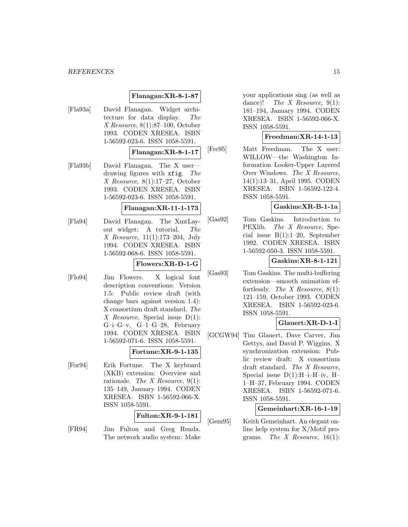#### **Flanagan:XR-8-1-87**

[Fla93a] David Flanagan. Widget architecture for data display. The X Resource, 8(1):87–100, October 1993. CODEN XRESEA. ISBN 1-56592-023-6. ISSN 1058-5591.

**Flanagan:XR-8-1-17**

[Fla93b] David Flanagan. The X user drawing figures with xfig. The X Resource, 8(1):17–27, October 1993. CODEN XRESEA. ISBN 1-56592-023-6. ISSN 1058-5591.

**Flanagan:XR-11-1-173**

[Fla94] David Flanagan. The XmtLayout widget: A tutorial. The X Resource, 11(1):173–204, July 1994. CODEN XRESEA. ISBN 1-56592-068-6. ISSN 1058-5591.

### **Flowers:XR-D-1-G**

[Flo94] Jim Flowers. X logical font description conventions: Version 1.5: Public review draft (with change bars against version 1.4): X consortium draft standard. The X Resource, Special issue  $D(1)$ : G–i–G–v, G–1–G–28, February 1994. CODEN XRESEA. ISBN 1-56592-071-6. ISSN 1058-5591.

### **Fortune:XR-9-1-135**

[For94] Erik Fortune. The X keyboard (XKB) extension: Overview and rationale. The X Resource,  $9(1)$ : 135–149, January 1994. CODEN XRESEA. ISBN 1-56592-066-X. ISSN 1058-5591.

### **Fulton:XR-9-1-181**

[FR94] Jim Fulton and Greg Renda. The network audio system: Make your applications sing (as well as dance)! The X Resource,  $9(1)$ : 181–194, January 1994. CODEN XRESEA. ISBN 1-56592-066-X. ISSN 1058-5591.

#### **Freedman:XR-14-1-13**

[Fre95] Matt Freedman. The X user: WILLOW—the Washington Information Looker-Upper Layered Over Windows. The X Resource, 14(1):13–31, April 1995. CODEN XRESEA. ISBN 1-56592-122-4. ISSN 1058-5591.

#### **Gaskins:XR-B-1-1a**

[Gas92] Tom Gaskins. Introduction to PEXlib. The X Resource, Special issue B(1):1–20, September 1992. CODEN XRESEA. ISBN 1-56592-050-3. ISSN 1058-5591.

**Gaskins:XR-8-1-121**

[Gas93] Tom Gaskins. The multi-buffering extension—smooth animation effortlessly. The X Resource,  $8(1)$ : 121–159, October 1993. CODEN XRESEA. ISBN 1-56592-023-6. ISSN 1058-5591.

### **Glauert:XR-D-1-I**

[GCGW94] Tim Glauert, Dave Carver, Jim Gettys, and David P. Wiggins. X synchronization extension: Public review draft: X consortium draft standard. The X Resource, Special issue  $D(1):H-i-H-iv$ , H 1–H–37, February 1994. CODEN XRESEA. ISBN 1-56592-071-6. ISSN 1058-5591.

### **Gemeinhart:XR-16-1-19**

[Gem95] Keith Gemeinhart. An elegant online help system for X/Motif programs. The X Resource,  $16(1)$ :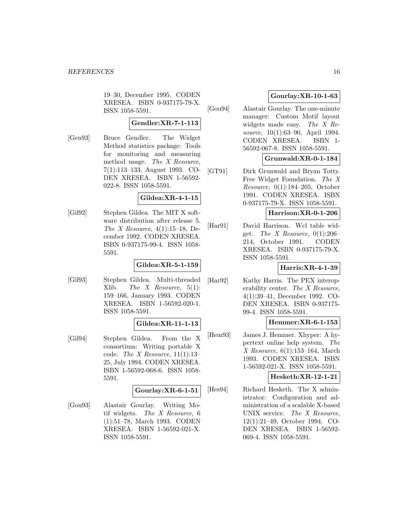19–30, December 1995. CODEN XRESEA. ISBN 0-937175-79-X. ISSN 1058-5591.

### **Gendler:XR-7-1-113**

[Gen93] Bruce Gendler. The Widget Method statistics package: Tools for monitoring and measuring method usage. The X Resource, 7(1):113–133, August 1993. CO-DEN XRESEA. ISBN 1-56592- 022-8. ISSN 1058-5591.

#### **Gildea:XR-4-1-15**

[Gil92] Stephen Gildea. The MIT X software distribution after release 5. The X Resource,  $4(1):15-18$ , December 1992. CODEN XRESEA. ISBN 0-937175-99-4. ISSN 1058- 5591.

#### **Gildea:XR-5-1-159**

[Gil93] Stephen Gildea. Multi-threaded Xlib. The X Resource,  $5(1)$ : 159–166, January 1993. CODEN XRESEA. ISBN 1-56592-020-1. ISSN 1058-5591.

#### **Gildea:XR-11-1-13**

[Gil94] Stephen Gildea. From the X consortium: Writing portable X code. The X Resource,  $11(1):13-$ 25, July 1994. CODEN XRESEA. ISBN 1-56592-068-6. ISSN 1058- 5591.

#### **Gourlay:XR-6-1-51**

[Gou93] Alastair Gourlay. Writing Motif widgets. The X Resource, 6 (1):51–78, March 1993. CODEN XRESEA. ISBN 1-56592-021-X. ISSN 1058-5591.

### **Gourlay:XR-10-1-63**

[Gou94] Alastair Gourlay. The one-minute manager: Custom Motif layout widgets made easy. The X Resource, 10(1):63-90, April 1994. CODEN XRESEA. ISBN 1- 56592-067-8. ISSN 1058-5591.

### **Grunwald:XR-0-1-184**

[GT91] Dirk Grunwald and Bryan Totty. Free Widget Foundation. The X Resource, 0(1):184–205, October 1991. CODEN XRESEA. ISBN 0-937175-79-X. ISSN 1058-5591.

#### **Harrison:XR-0-1-206**

[Har91] David Harrison. Wcl table widget. The X Resource,  $0(1):206-$ 214, October 1991. CODEN XRESEA. ISBN 0-937175-79-X. ISSN 1058-5591.

### **Harris:XR-4-1-39**

[Har92] Kathy Harris. The PEX interoperability center. The X Resource, 4(1):39–41, December 1992. CO-DEN XRESEA. ISBN 0-937175- 99-4. ISSN 1058-5591.

### **Hemmer:XR-6-1-153**

[Hem93] James J. Hemmer. Xhyper: A hypertext online help system. The X Resource, 6(1):153–164, March 1993. CODEN XRESEA. ISBN 1-56592-021-X. ISSN 1058-5591.

#### **Hesketh:XR-12-1-21**

[Hes94] Richard Hesketh. The X administrator: Configuration and administration of a scalable X-based UNIX service. The X Resource, 12(1):21–49, October 1994. CO-DEN XRESEA. ISBN 1-56592- 069-4. ISSN 1058-5591.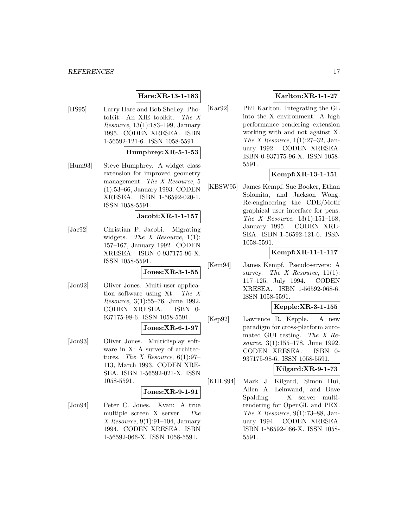### **Hare:XR-13-1-183**

[HS95] Larry Hare and Bob Shelley. PhotoKit: An XIE toolkit. The X Resource, 13(1):183–199, January 1995. CODEN XRESEA. ISBN 1-56592-121-6. ISSN 1058-5591.

#### **Humphrey:XR-5-1-53**

[Hum93] Steve Humphrey. A widget class extension for improved geometry management. The X Resource, 5 (1):53–66, January 1993. CODEN XRESEA. ISBN 1-56592-020-1. ISSN 1058-5591.

#### **Jacobi:XR-1-1-157**

[Jac92] Christian P. Jacobi. Migrating widgets. The X Resource,  $1(1)$ : 157–167, January 1992. CODEN XRESEA. ISBN 0-937175-96-X. ISSN 1058-5591.

**Jones:XR-3-1-55**

[Jon92] Oliver Jones. Multi-user application software using Xt. The X Resource, 3(1):55–76, June 1992. CODEN XRESEA. ISBN 0- 937175-98-6. ISSN 1058-5591.

### **Jones:XR-6-1-97**

[Jon93] Oliver Jones. Multidisplay software in X: A survey of architectures. The X Resource,  $6(1):97-$ 113, March 1993. CODEN XRE-SEA. ISBN 1-56592-021-X. ISSN 1058-5591.

### **Jones:XR-9-1-91**

[Jon94] Peter C. Jones. Xvan: A true multiple screen X server. The X Resource,  $9(1):91-104$ , January 1994. CODEN XRESEA. ISBN 1-56592-066-X. ISSN 1058-5591.

### **Karlton:XR-1-1-27**

[Kar92] Phil Karlton. Integrating the GL into the X environment: A high performance rendering extension working with and not against X. The X Resource,  $1(1):27-32$ , January 1992. CODEN XRESEA. ISBN 0-937175-96-X. ISSN 1058- 5591.

### **Kempf:XR-13-1-151**

[KBSW95] James Kempf, Sue Booker, Ethan Solomita, and Jackson Wong. Re-engineering the CDE/Motif graphical user interface for pens. The X Resource,  $13(1):151-168$ , January 1995. CODEN XRE-SEA. ISBN 1-56592-121-6. ISSN 1058-5591.

### **Kempf:XR-11-1-117**

[Kem94] James Kempf. Pseudoservers: A survey. The X Resource,  $11(1)$ : 117–125, July 1994. CODEN XRESEA. ISBN 1-56592-068-6. ISSN 1058-5591.

### **Kepple:XR-3-1-155**

[Kep92] Lawrence R. Kepple. A new paradigm for cross-platform automated GUI testing. The X Resource, 3(1):155–178, June 1992. CODEN XRESEA. ISBN 0- 937175-98-6. ISSN 1058-5591.

### **Kilgard:XR-9-1-73**

[KHLS94] Mark J. Kilgard, Simon Hui, Allen A. Leinwand, and Dave Spalding. X server multirendering for OpenGL and PEX. The X Resource, 9(1):73–88, January 1994. CODEN XRESEA. ISBN 1-56592-066-X. ISSN 1058- 5591.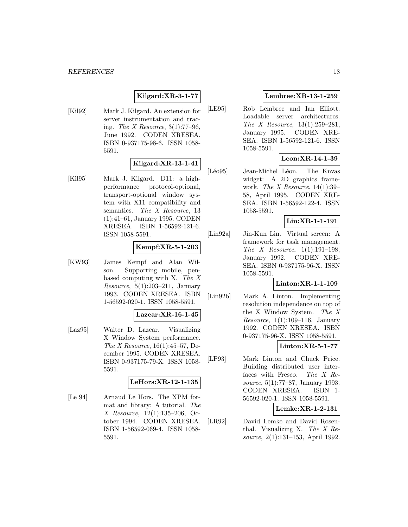### **Kilgard:XR-3-1-77**

[Kil92] Mark J. Kilgard. An extension for server instrumentation and tracing. The X Resource,  $3(1)$ :77-96, June 1992. CODEN XRESEA. ISBN 0-937175-98-6. ISSN 1058- 5591.

### **Kilgard:XR-13-1-41**

[Kil95] Mark J. Kilgard. D11: a highperformance protocol-optional, transport-optional window system with X11 compatibility and semantics. The X Resource, 13 (1):41–61, January 1995. CODEN XRESEA. ISBN 1-56592-121-6. ISSN 1058-5591.

### **Kempf:XR-5-1-203**

[KW93] James Kempf and Alan Wilson. Supporting mobile, penbased computing with X. The X *Resource*,  $5(1):203-211$ , January 1993. CODEN XRESEA. ISBN 1-56592-020-1. ISSN 1058-5591.

### **Lazear:XR-16-1-45**

[Laz95] Walter D. Lazear. Visualizing X Window System performance. The X Resource, 16(1):45–57, December 1995. CODEN XRESEA. ISBN 0-937175-79-X. ISSN 1058- 5591.

#### **LeHors:XR-12-1-135**

[Le 94] Arnaud Le Hors. The XPM format and library: A tutorial. The X Resource, 12(1):135–206, October 1994. CODEN XRESEA. ISBN 1-56592-069-4. ISSN 1058- 5591.

### **Lembree:XR-13-1-259**

[LE95] Rob Lembree and Ian Elliott. Loadable server architectures. The X Resource, 13(1):259–281, January 1995. CODEN XRE-SEA. ISBN 1-56592-121-6. ISSN 1058-5591.

### **Leon:XR-14-1-39**

[Léo95] Jean-Michel Léon. The Knvas widget: A 2D graphics framework. The X Resource,  $14(1):39-$ 58, April 1995. CODEN XRE-SEA. ISBN 1-56592-122-4. ISSN 1058-5591.

### **Lin:XR-1-1-191**

[Lin92a] Jin-Kun Lin. Virtual screen: A framework for task management. The X Resource,  $1(1):191-198$ , January 1992. CODEN XRE-SEA. ISBN 0-937175-96-X. ISSN 1058-5591.

#### **Linton:XR-1-1-109**

[Lin92b] Mark A. Linton. Implementing resolution independence on top of the X Window System. The X Resource,  $1(1):109-116$ , January 1992. CODEN XRESEA. ISBN 0-937175-96-X. ISSN 1058-5591.

### **Linton:XR-5-1-77**

[LP93] Mark Linton and Chuck Price. Building distributed user interfaces with Fresco. The X Resource, 5(1):77–87, January 1993. CODEN XRESEA. ISBN 1- 56592-020-1. ISSN 1058-5591.

### **Lemke:XR-1-2-131**

[LR92] David Lemke and David Rosenthal. Visualizing X. The X Resource, 2(1):131–153, April 1992.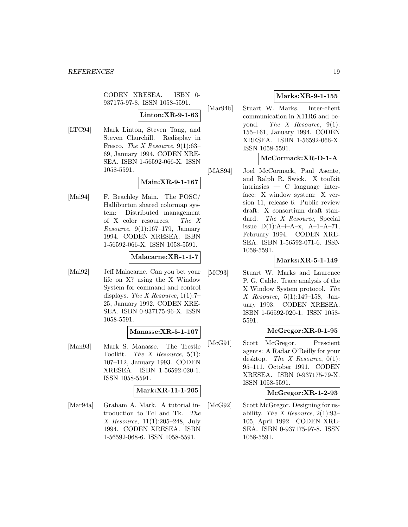CODEN XRESEA. ISBN 0- 937175-97-8. ISSN 1058-5591.

**Linton:XR-9-1-63**

[LTC94] Mark Linton, Steven Tang, and Steven Churchill. Redisplay in Fresco. The X Resource,  $9(1):63-$ 69, January 1994. CODEN XRE-SEA. ISBN 1-56592-066-X. ISSN 1058-5591.

## **Main:XR-9-1-167**

[Mai94] F. Beachley Main. The POSC/ Halliburton shared colormap system: Distributed management of X color resources. The X Resource, 9(1):167–179, January 1994. CODEN XRESEA. ISBN 1-56592-066-X. ISSN 1058-5591.

**Malacarne:XR-1-1-7**

[Mal92] Jeff Malacarne. Can you bet your life on X? using the X Window System for command and control displays. The X Resource,  $1(1):7-$ 25, January 1992. CODEN XRE-SEA. ISBN 0-937175-96-X. ISSN 1058-5591.

### **Manasse:XR-5-1-107**

[Man93] Mark S. Manasse. The Trestle Toolkit. The X Resource,  $5(1)$ : 107–112, January 1993. CODEN XRESEA. ISBN 1-56592-020-1. ISSN 1058-5591.

### **Mark:XR-11-1-205**

[Mar94a] Graham A. Mark. A tutorial introduction to Tcl and Tk. The X Resource, 11(1):205–248, July 1994. CODEN XRESEA. ISBN 1-56592-068-6. ISSN 1058-5591.

### **Marks:XR-9-1-155**

[Mar94b] Stuart W. Marks. Inter-client communication in X11R6 and beyond. The X Resource,  $9(1)$ : 155–161, January 1994. CODEN XRESEA. ISBN 1-56592-066-X. ISSN 1058-5591.

### **McCormack:XR-D-1-A**

[MAS94] Joel McCormack, Paul Asente, and Ralph R. Swick. X toolkit intrinsics — C language interface: X window system: X version 11, release 6: Public review draft: X consortium draft standard. The X Resource, Special issue  $D(1):A-i-A-x$ ,  $A-1-A-71$ , February 1994. CODEN XRE-SEA. ISBN 1-56592-071-6. ISSN 1058-5591.

### **Marks:XR-5-1-149**

[MC93] Stuart W. Marks and Laurence P. G. Cable. Trace analysis of the X Window System protocol. The X Resource, 5(1):149–158, January 1993. CODEN XRESEA. ISBN 1-56592-020-1. ISSN 1058- 5591.

### **McGregor:XR-0-1-95**

[McG91] Scott McGregor. Prescient agents: A Radar O'Reilly for your desktop. The X Resource,  $0(1)$ : 95–111, October 1991. CODEN XRESEA. ISBN 0-937175-79-X. ISSN 1058-5591.

### **McGregor:XR-1-2-93**

[McG92] Scott McGregor. Designing for usability. The X Resource,  $2(1):93-$ 105, April 1992. CODEN XRE-SEA. ISBN 0-937175-97-8. ISSN 1058-5591.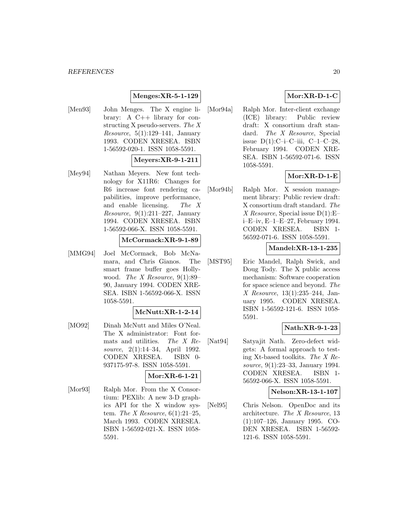### **Menges:XR-5-1-129**

[Men93] John Menges. The X engine library: A C++ library for constructing X pseudo-servers. The  $X$ *Resource*,  $5(1):129-141$ , January 1993. CODEN XRESEA. ISBN 1-56592-020-1. ISSN 1058-5591.

#### **Meyers:XR-9-1-211**

[Mey94] Nathan Meyers. New font technology for X11R6: Changes for R6 increase font rendering capabilities, improve performance, and enable licensing. The X *Resource*,  $9(1):211-227$ , January 1994. CODEN XRESEA. ISBN 1-56592-066-X. ISSN 1058-5591.

**McCormack:XR-9-1-89**

[MMG94] Joel McCormack, Bob McNamara, and Chris Gianos. The smart frame buffer goes Hollywood. The X Resource,  $9(1):89-$ 90, January 1994. CODEN XRE-SEA. ISBN 1-56592-066-X. ISSN 1058-5591.

#### **McNutt:XR-1-2-14**

[MO92] Dinah McNutt and Miles O'Neal. The X administrator: Font formats and utilities. The X Resource, 2(1):14–34, April 1992. CODEN XRESEA. ISBN 0- 937175-97-8. ISSN 1058-5591.

### **Mor:XR-6-1-21**

[Mor93] Ralph Mor. From the X Consortium: PEXlib: A new 3-D graphics API for the X window system. The X Resource,  $6(1):21-25$ , March 1993. CODEN XRESEA. ISBN 1-56592-021-X. ISSN 1058- 5591.

### **Mor:XR-D-1-C**

[Mor94a] Ralph Mor. Inter-client exchange (ICE) library: Public review draft: X consortium draft standard. The X Resource, Special issue  $D(1)$ :C-i-C-iii, C-1-C-28, February 1994. CODEN XRE-SEA. ISBN 1-56592-071-6. ISSN 1058-5591.

### **Mor:XR-D-1-E**

[Mor94b] Ralph Mor. X session management library: Public review draft: X consortium draft standard. The X Resource, Special issue D(1):E– i–E–iv, E–1–E–27, February 1994. CODEN XRESEA. ISBN 1- 56592-071-6. ISSN 1058-5591.

### **Mandel:XR-13-1-235**

[MST95] Eric Mandel, Ralph Swick, and Doug Tody. The X public access mechanism: Software cooperation for space science and beyond. The X Resource, 13(1):235–244, January 1995. CODEN XRESEA. ISBN 1-56592-121-6. ISSN 1058- 5591.

### **Nath:XR-9-1-23**

[Nat94] Satyajit Nath. Zero-defect widgets: A formal approach to testing Xt-based toolkits. The X Resource, 9(1):23-33, January 1994. CODEN XRESEA. ISBN 1- 56592-066-X. ISSN 1058-5591.

#### **Nelson:XR-13-1-107**

[Nel95] Chris Nelson. OpenDoc and its architecture. The X Resource, 13 (1):107–126, January 1995. CO-DEN XRESEA. ISBN 1-56592- 121-6. ISSN 1058-5591.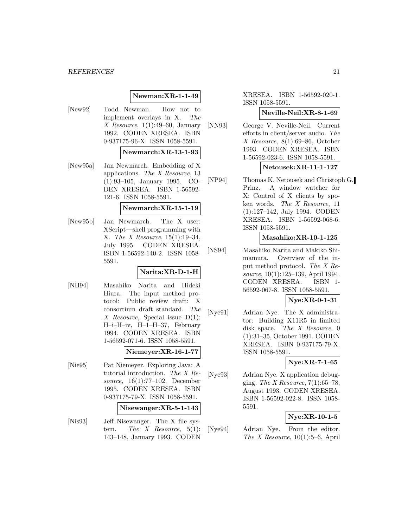### **Newman:XR-1-1-49**

[New92] Todd Newman. How not to implement overlays in X. The X Resource,  $1(1):49-60$ , January 1992. CODEN XRESEA. ISBN 0-937175-96-X. ISSN 1058-5591.

**Newmarch:XR-13-1-93**

[New95a] Jan Newmarch. Embedding of X applications. The X Resource, 13 (1):93–105, January 1995. CO-DEN XRESEA. ISBN 1-56592- 121-6. ISSN 1058-5591.

#### **Newmarch:XR-15-1-19**

[New95b] Jan Newmarch. The X user: XScript—shell programming with X. The X Resource, 15(1):19–34, July 1995. CODEN XRESEA. ISBN 1-56592-140-2. ISSN 1058- 5591.

### **Narita:XR-D-1-H**

[NH94] Masahiko Narita and Hideki Hiura. The input method protocol: Public review draft: X consortium draft standard. The X Resource, Special issue  $D(1)$ : H–i–H–iv, H–1–H–37, February 1994. CODEN XRESEA. ISBN 1-56592-071-6. ISSN 1058-5591.

#### **Niemeyer:XR-16-1-77**

[Nie95] Pat Niemeyer. Exploring Java: A tutorial introduction. The X Resource, 16(1):77–102, December 1995. CODEN XRESEA. ISBN 0-937175-79-X. ISSN 1058-5591.

#### **Nisewanger:XR-5-1-143**

[Nis93] Jeff Nisewanger. The X file system. The X Resource,  $5(1)$ : 143–148, January 1993. CODEN

XRESEA. ISBN 1-56592-020-1. ISSN 1058-5591.

#### **Neville-Neil:XR-8-1-69**

[NN93] George V. Neville-Neil. Current efforts in client/server audio. The X Resource, 8(1):69–86, October 1993. CODEN XRESEA. ISBN 1-56592-023-6. ISSN 1058-5591.

**Netousek:XR-11-1-127**

[NP94] Thomas K. Netousek and Christoph G. Prinz. A window watcher for X: Control of X clients by spoken words. The X Resource, 11 (1):127–142, July 1994. CODEN XRESEA. ISBN 1-56592-068-6. ISSN 1058-5591.

#### **Masahiko:XR-10-1-125**

[NS94] Masahiko Narita and Makiko Shimamura. Overview of the input method protocol. The X Resource, 10(1):125–139, April 1994. CODEN XRESEA. ISBN 1- 56592-067-8. ISSN 1058-5591.

**Nye:XR-0-1-31**

[Nye91] Adrian Nye. The X administrator: Building X11R5 in limited disk space. The X Resource, 0 (1):31–35, October 1991. CODEN XRESEA. ISBN 0-937175-79-X. ISSN 1058-5591.

### **Nye:XR-7-1-65**

[Nye93] Adrian Nye. X application debugging. The X Resource,  $7(1):65-78$ , August 1993. CODEN XRESEA. ISBN 1-56592-022-8. ISSN 1058- 5591.

### **Nye:XR-10-1-5**

[Nye94] Adrian Nye. From the editor. The X Resource,  $10(1)$ :5–6, April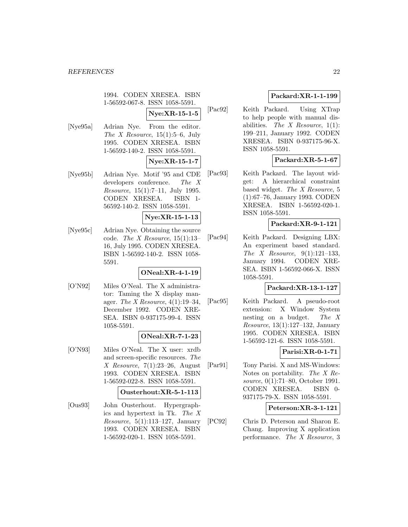1994. CODEN XRESEA. ISBN 1-56592-067-8. ISSN 1058-5591.

**Nye:XR-15-1-5**

[Nye95a] Adrian Nye. From the editor. The X Resource,  $15(1):5-6$ , July 1995. CODEN XRESEA. ISBN 1-56592-140-2. ISSN 1058-5591.

$$
Nye:XR-15-1-7
$$

[Nye95b] Adrian Nye. Motif '95 and CDE developers conference. The X Resource, 15(1):7–11, July 1995. CODEN XRESEA. ISBN 1- 56592-140-2. ISSN 1058-5591.

#### **Nye:XR-15-1-13**

[Nye95c] Adrian Nye. Obtaining the source code. The X Resource,  $15(1):13-$ 16, July 1995. CODEN XRESEA. ISBN 1-56592-140-2. ISSN 1058- 5591.

### **ONeal:XR-4-1-19**

[O'N92] Miles O'Neal. The X administrator: Taming the X display manager. The X Resource,  $4(1):19-34$ , December 1992. CODEN XRE-SEA. ISBN 0-937175-99-4. ISSN 1058-5591.

### **ONeal:XR-7-1-23**

[O'N93] Miles O'Neal. The X user: xrdb and screen-specific resources. The X Resource,  $7(1):23-26$ , August 1993. CODEN XRESEA. ISBN 1-56592-022-8. ISSN 1058-5591.

### **Ousterhout:XR-5-1-113**

[Ous93] John Ousterhout. Hypergraphics and hypertext in Tk. The X Resource,  $5(1):113-127$ , January 1993. CODEN XRESEA. ISBN 1-56592-020-1. ISSN 1058-5591.

### **Packard:XR-1-1-199**

[Pac92] Keith Packard. Using XTrap to help people with manual disabilities. The X Resource,  $1(1)$ : 199–211, January 1992. CODEN XRESEA. ISBN 0-937175-96-X. ISSN 1058-5591.

### **Packard:XR-5-1-67**

[Pac93] Keith Packard. The layout widget: A hierarchical constraint based widget. The X Resource, 5 (1):67–76, January 1993. CODEN XRESEA. ISBN 1-56592-020-1. ISSN 1058-5591.

### **Packard:XR-9-1-121**

[Pac94] Keith Packard. Designing LBX: An experiment based standard. The X Resource,  $9(1):121-133$ , January 1994. CODEN XRE-SEA. ISBN 1-56592-066-X. ISSN 1058-5591.

### **Packard:XR-13-1-127**

[Pac95] Keith Packard. A pseudo-root extension: X Window System nesting on a budget. The X Resource, 13(1):127–132, January 1995. CODEN XRESEA. ISBN 1-56592-121-6. ISSN 1058-5591.

### **Parisi:XR-0-1-71**

[Par91] Tony Parisi. X and MS-Windows: Notes on portability. The X Resource, 0(1):71–80, October 1991. CODEN XRESEA. ISBN 0- 937175-79-X. ISSN 1058-5591.

### **Peterson:XR-3-1-121**

[PC92] Chris D. Peterson and Sharon E. Chang. Improving X application performance. The X Resource, 3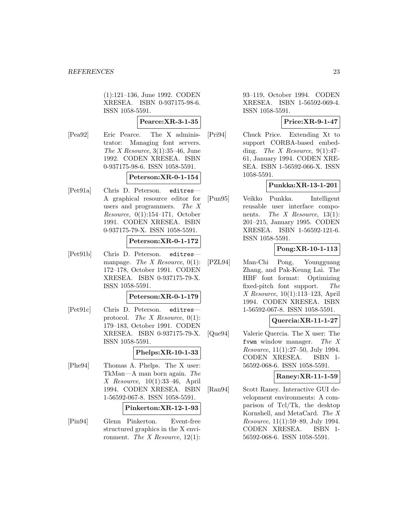(1):121–136, June 1992. CODEN XRESEA. ISBN 0-937175-98-6. ISSN 1058-5591.

**Pearce:XR-3-1-35**

[Pea92] Eric Pearce. The X administrator: Managing font servers. The X Resource,  $3(1):35-46$ , June 1992. CODEN XRESEA. ISBN 0-937175-98-6. ISSN 1058-5591.

### **Peterson:XR-0-1-154**

[Pet91a] Chris D. Peterson. editres-A graphical resource editor for users and programmers. The X Resource, 0(1):154–171, October 1991. CODEN XRESEA. ISBN 0-937175-79-X. ISSN 1058-5591.

### **Peterson:XR-0-1-172**

[Pet91b] Chris D. Peterson. editres manpage. The X Resource,  $0(1)$ : 172–178, October 1991. CODEN XRESEA. ISBN 0-937175-79-X. ISSN 1058-5591.

#### **Peterson:XR-0-1-179**

[Pet91c] Chris D. Peterson. editresprotocol. The X Resource,  $0(1)$ : 179–183, October 1991. CODEN XRESEA. ISBN 0-937175-79-X. ISSN 1058-5591.

### **Phelps:XR-10-1-33**

[Phe94] Thomas A. Phelps. The X user: TkMan—A man born again. The X Resource, 10(1):33–46, April 1994. CODEN XRESEA. ISBN 1-56592-067-8. ISSN 1058-5591.

### **Pinkerton:XR-12-1-93**

[Pin94] Glenn Pinkerton. Event-free structured graphics in the X environment. The X Resource,  $12(1)$ : 93–119, October 1994. CODEN XRESEA. ISBN 1-56592-069-4. ISSN 1058-5591.

### **Price:XR-9-1-47**

[Pri94] Chuck Price. Extending Xt to support CORBA-based embedding. The X Resource,  $9(1):47-$ 61, January 1994. CODEN XRE-SEA. ISBN 1-56592-066-X. ISSN 1058-5591.

### **Punkka:XR-13-1-201**

[Pun95] Veikko Punkka. Intelligent reusable user interface components. The X Resource,  $13(1)$ : 201–215, January 1995. CODEN XRESEA. ISBN 1-56592-121-6. ISSN 1058-5591.

### **Pong:XR-10-1-113**

[PZL94] Man-Chi Pong, Youngguang Zhang, and Pak-Keung Lai. The HBF font format: Optimizing fixed-pitch font support. The X Resource, 10(1):113–123, April 1994. CODEN XRESEA. ISBN 1-56592-067-8. ISSN 1058-5591.

### **Quercia:XR-11-1-27**

[Que94] Valerie Quercia. The X user: The fvwm window manager. The X *Resource*,  $11(1):27-50$ , July 1994. CODEN XRESEA. ISBN 1- 56592-068-6. ISSN 1058-5591.

#### **Raney:XR-11-1-59**

[Ran94] Scott Raney. Interactive GUI development environments: A comparison of Tcl/Tk, the desktop Kornshell, and MetaCard. The X Resource, 11(1):59–89, July 1994. CODEN XRESEA. ISBN 1- 56592-068-6. ISSN 1058-5591.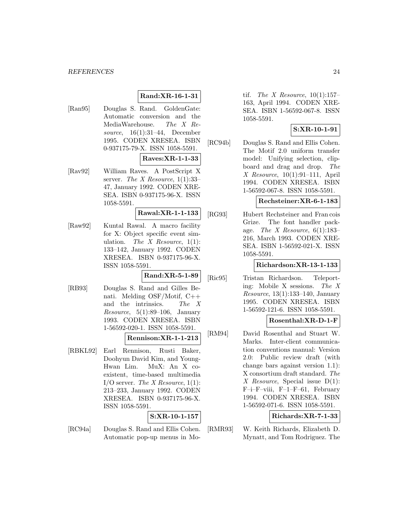### **Rand:XR-16-1-31**

[Ran95] Douglas S. Rand. GoldenGate: Automatic conversion and the MediaWarehouse. The X Resource, 16(1):31–44, December 1995. CODEN XRESEA. ISBN 0-937175-79-X. ISSN 1058-5591.

#### **Raves:XR-1-1-33**

[Rav92] William Raves. A PostScript X server. The X Resource,  $1(1):33-$ 47, January 1992. CODEN XRE-SEA. ISBN 0-937175-96-X. ISSN 1058-5591.

### **Rawal:XR-1-1-133**

[Raw92] Kuntal Rawal. A macro facility for X: Object specific event simulation. The X Resource,  $1(1)$ : 133–142, January 1992. CODEN XRESEA. ISBN 0-937175-96-X. ISSN 1058-5591.

### **Rand:XR-5-1-89**

[RB93] Douglas S. Rand and Gilles Benati. Melding OSF/Motif, C++ and the intrinsics. The X *Resource*,  $5(1):89-106$ , January 1993. CODEN XRESEA. ISBN 1-56592-020-1. ISSN 1058-5591.

**Rennison:XR-1-1-213**

[RBKL92] Earl Rennison, Rusti Baker, Doohyun David Kim, and Young-Hwan Lim. MuX: An X coexistent, time-based multimedia I/O server. The X Resource,  $1(1)$ : 213–233, January 1992. CODEN XRESEA. ISBN 0-937175-96-X. ISSN 1058-5591.

#### **S:XR-10-1-157**

[RC94a] Douglas S. Rand and Ellis Cohen. Automatic pop-up menus in Motif. The X Resource,  $10(1):157-$ 163, April 1994. CODEN XRE-SEA. ISBN 1-56592-067-8. ISSN 1058-5591.

#### **S:XR-10-1-91**

[RC94b] Douglas S. Rand and Ellis Cohen. The Motif 2.0 uniform transfer model: Unifying selection, clipboard and drag and drop. The X Resource, 10(1):91–111, April 1994. CODEN XRESEA. ISBN 1-56592-067-8. ISSN 1058-5591.

**Rechsteiner:XR-6-1-183**

[RG93] Hubert Rechsteiner and Fran cois Grize. The font handler package. The X Resource,  $6(1):183-$ 216, March 1993. CODEN XRE-SEA. ISBN 1-56592-021-X. ISSN 1058-5591.

#### **Richardson:XR-13-1-133**

[Ric95] Tristan Richardson. Teleporting: Mobile X sessions. The X Resource, 13(1):133–140, January 1995. CODEN XRESEA. ISBN 1-56592-121-6. ISSN 1058-5591.

### **Rosenthal:XR-D-1-F**

[RM94] David Rosenthal and Stuart W. Marks. Inter-client communication conventions manual: Version 2.0: Public review draft (with change bars against version 1.1): X consortium draft standard. The X Resource, Special issue  $D(1)$ : F–i–F–viii, F–1–F–61, February 1994. CODEN XRESEA. ISBN 1-56592-071-6. ISSN 1058-5591.

#### **Richards:XR-7-1-33**

[RMR93] W. Keith Richards, Elizabeth D. Mynatt, and Tom Rodriguez. The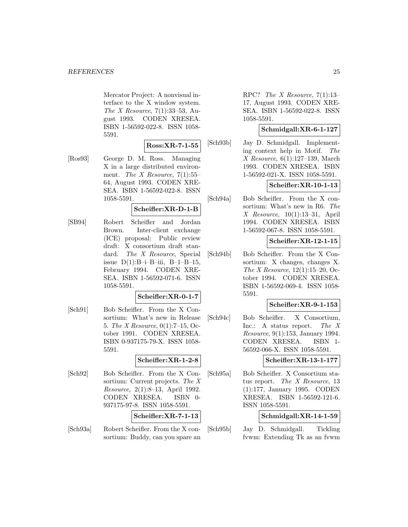Mercator Project: A nonvisual interface to the X window system. The X Resource,  $7(1):33-53$ , August 1993. CODEN XRESEA. ISBN 1-56592-022-8. ISSN 1058- 5591.

**Ross:XR-7-1-55**

[Ros93] George D. M. Ross. Managing X in a large distributed environment. The X Resource,  $7(1):55-$ 64, August 1993. CODEN XRE-SEA. ISBN 1-56592-022-8. ISSN 1058-5591.

**Scheifler:XR-D-1-B**

[SB94] Robert Scheifler and Jordan Brown. Inter-client exchange (ICE) proposal: Public review draft: X consortium draft standard. *The X Resource*, Special issue  $D(1):B-i-B-iii$ ,  $B-1-B-15$ , February 1994. CODEN XRE-SEA. ISBN 1-56592-071-6. ISSN 1058-5591.

#### **Scheifler:XR-0-1-7**

[Sch91] Bob Scheifler. From the X Consortium: What's new in Release 5. The X Resource, 0(1):7–15, October 1991. CODEN XRESEA. ISBN 0-937175-79-X. ISSN 1058- 5591.

#### **Scheifler:XR-1-2-8**

[Sch92] Bob Scheifler. From the X Consortium: Current projects. The X Resource, 2(1):8–13, April 1992. CODEN XRESEA. ISBN 0- 937175-97-8. ISSN 1058-5591.

**Scheifler:XR-7-1-13**

[Sch93a] Robert Scheifler. From the X consortium: Buddy, can you spare an

RPC? The X Resource,  $7(1):13-$ 17, August 1993. CODEN XRE-SEA. ISBN 1-56592-022-8. ISSN 1058-5591.

### **Schmidgall:XR-6-1-127**

[Sch93b] Jay D. Schmidgall. Implementing context help in Motif. The X Resource, 6(1):127–139, March 1993. CODEN XRESEA. ISBN 1-56592-021-X. ISSN 1058-5591.

**Scheifler:XR-10-1-13**

[Sch94a] Bob Scheifler. From the X consortium: What's new in R6. The X Resource, 10(1):13–31, April 1994. CODEN XRESEA. ISBN 1-56592-067-8. ISSN 1058-5591.

**Scheifler:XR-12-1-15**

[Sch94b] Bob Scheifler. From the X Consortium: X changes, changes X. The X Resource,  $12(1):15-20$ , October 1994. CODEN XRESEA. ISBN 1-56592-069-4. ISSN 1058- 5591.

#### **Scheifler:XR-9-1-153**

[Sch94c] Bob Scheifler. X Consortium, Inc.: A status report. The X Resource, 9(1):153, January 1994. CODEN XRESEA. ISBN 1- 56592-066-X. ISSN 1058-5591.

**Scheifler:XR-13-1-177**

[Sch95a] Bob Scheifler. X Consortium status report. The X Resource, 13 (1):177, January 1995. CODEN XRESEA. ISBN 1-56592-121-6. ISSN 1058-5591.

#### **Schmidgall:XR-14-1-59**

[Sch95b] Jay D. Schmidgall. Tickling fvwm: Extending Tk as an fvwm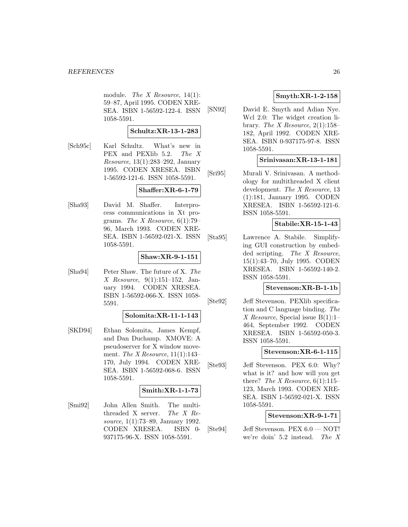module. The X Resource,  $14(1)$ : 59–87, April 1995. CODEN XRE-SEA. ISBN 1-56592-122-4. ISSN 1058-5591.

#### **Schultz:XR-13-1-283**

[Sch95c] Karl Schultz. What's new in PEX and PEXlib 5.2. The X Resource, 13(1):283–292, January 1995. CODEN XRESEA. ISBN 1-56592-121-6. ISSN 1058-5591.

#### **Shaffer:XR-6-1-79**

[Sha93] David M. Shaffer. Interprocess communications in Xt programs. The X Resource,  $6(1):79-$ 96, March 1993. CODEN XRE-SEA. ISBN 1-56592-021-X. ISSN 1058-5591.

### **Shaw:XR-9-1-151**

[Sha94] Peter Shaw. The future of X. The X Resource, 9(1):151–152, January 1994. CODEN XRESEA. ISBN 1-56592-066-X. ISSN 1058- 5591.

#### **Solomita:XR-11-1-143**

[SKD94] Ethan Solomita, James Kempf, and Dan Duchamp. XMOVE: A pseudoserver for X window movement. The X Resource,  $11(1):143-$ 170, July 1994. CODEN XRE-SEA. ISBN 1-56592-068-6. ISSN 1058-5591.

### **Smith:XR-1-1-73**

[Smi92] John Allen Smith. The multithreaded X server. The X Resource, 1(1):73–89, January 1992. CODEN XRESEA. ISBN 0- 937175-96-X. ISSN 1058-5591.

### **Smyth:XR-1-2-158**

[SN92] David E. Smyth and Adian Nye. Wcl 2.0: The widget creation library. The X Resource,  $2(1)$ :158– 182, April 1992. CODEN XRE-SEA. ISBN 0-937175-97-8. ISSN 1058-5591.

### **Srinivasan:XR-13-1-181**

[Sri95] Murali V. Srinivasan. A methodology for multithreaded X client development. The X Resource, 13 (1):181, January 1995. CODEN XRESEA. ISBN 1-56592-121-6. ISSN 1058-5591.

#### **Stabile:XR-15-1-43**

[Sta95] Lawrence A. Stabile. Simplifying GUI construction by embedded scripting. The X Resource, 15(1):43–70, July 1995. CODEN XRESEA. ISBN 1-56592-140-2. ISSN 1058-5591.

#### **Stevenson:XR-B-1-1b**

[Ste92] Jeff Stevenson. PEXlib specification and C language binding. The X Resource, Special issue B(1):1– 464, September 1992. CODEN XRESEA. ISBN 1-56592-050-3. ISSN 1058-5591.

### **Stevenson:XR-6-1-115**

[Ste93] Jeff Stevenson. PEX 6.0: Why? what is it? and how will you get there? The X Resource,  $6(1):115-$ 123, March 1993. CODEN XRE-SEA. ISBN 1-56592-021-X. ISSN 1058-5591.

### **Stevenson:XR-9-1-71**

[Ste94] Jeff Stevenson. PEX  $6.0 - NOT!$ we're doin' 5.2 instead. The X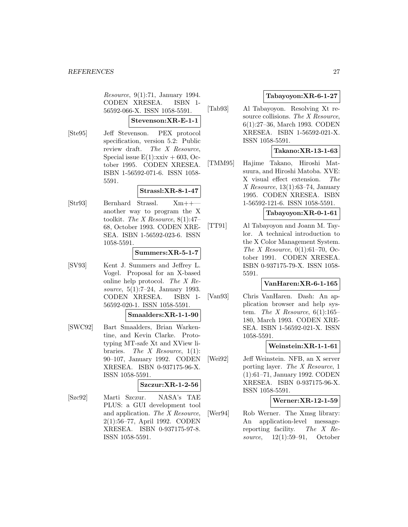Resource, 9(1):71, January 1994. CODEN XRESEA. ISBN 1- 56592-066-X. ISSN 1058-5591.

### **Stevenson:XR-E-1-1**

[Ste95] Jeff Stevenson. PEX protocol specification, version 5.2: Public review draft. The X Resource, Special issue  $E(1):$ xxiv + 603, October 1995. CODEN XRESEA. ISBN 1-56592-071-6. ISSN 1058- 5591.

### **Strassl:XR-8-1-47**

[Str93] Bernhard Strassl. Xm++ another way to program the X toolkit. The X Resource,  $8(1):47-$ 68, October 1993. CODEN XRE-SEA. ISBN 1-56592-023-6. ISSN 1058-5591.

#### **Summers:XR-5-1-7**

[SV93] Kent J. Summers and Jeffrey L. Vogel. Proposal for an X-based online help protocol. The X Resource, 5(1):7–24, January 1993. CODEN XRESEA. ISBN 1- 56592-020-1. ISSN 1058-5591.

#### **Smaalders:XR-1-1-90**

[SWC92] Bart Smaalders, Brian Warkentine, and Kevin Clarke. Prototyping MT-safe Xt and XView libraries. The X Resource,  $1(1)$ : 90–107, January 1992. CODEN XRESEA. ISBN 0-937175-96-X. ISSN 1058-5591.

### **Szczur:XR-1-2-56**

[Szc92] Marti Szczur. NASA's TAE PLUS: a GUI development tool and application. The X Resource, 2(1):56–77, April 1992. CODEN XRESEA. ISBN 0-937175-97-8. ISSN 1058-5591.

### **Tabayoyon:XR-6-1-27**

[Tab93] Al Tabayoyon. Resolving Xt resource collisions. The X Resource, 6(1):27–36, March 1993. CODEN XRESEA. ISBN 1-56592-021-X. ISSN 1058-5591.

### **Takano:XR-13-1-63**

[TMM95] Hajime Takano, Hiroshi Matsuura, and Hiroshi Matoba. XVE: X visual effect extension. The X Resource,  $13(1):63-74$ , January 1995. CODEN XRESEA. ISBN 1-56592-121-6. ISSN 1058-5591.

#### **Tabayoyon:XR-0-1-61**

[TT91] Al Tabayoyon and Joann M. Taylor. A technical introduction to the X Color Management System. The X Resource,  $0(1):61-70$ , October 1991. CODEN XRESEA. ISBN 0-937175-79-X. ISSN 1058- 5591.

### **VanHaren:XR-6-1-165**

[Van93] Chris VanHaren. Dash: An application browser and help system. The X Resource,  $6(1):165-$ 180, March 1993. CODEN XRE-SEA. ISBN 1-56592-021-X. ISSN 1058-5591.

### **Weinstein:XR-1-1-61**

[Wei92] Jeff Weinstein. NFB, an X server porting layer. The X Resource, 1 (1):61–71, January 1992. CODEN XRESEA. ISBN 0-937175-96-X. ISSN 1058-5591.

#### **Werner:XR-12-1-59**

[Wer94] Rob Werner. The Xmsg library: An application-level messagereporting facility. The X Resource, 12(1):59–91, October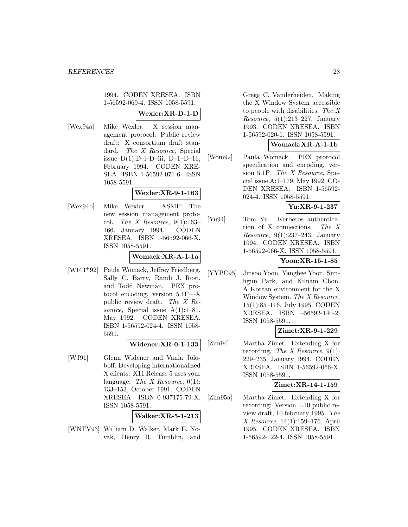1994. CODEN XRESEA. ISBN 1-56592-069-4. ISSN 1058-5591.

### **Wexler:XR-D-1-D**

[Wex94a] Mike Wexler. X session management protocol: Public review draft: X consortium draft standard. The X Resource, Special issue  $D(1):D-i-D-iii$ ,  $D-1-D-16$ , February 1994. CODEN XRE-SEA. ISBN 1-56592-071-6. ISSN 1058-5591.

#### **Wexler:XR-9-1-163**

[Wex94b] Mike Wexler. XSMP: The new session management protocol. The X Resource,  $9(1):163-$ 166, January 1994. CODEN XRESEA. ISBN 1-56592-066-X. ISSN 1058-5591.

**Womack:XR-A-1-1a**

[WFB<sup>+</sup>92] Paula Womack, Jeffrey Friedberg, Sally C. Barry, Randi J. Rost, and Todd Newman. PEX protocol encoding, version 5.1P—X public review draft. The X Resource, Special issue  $A(1):1-81$ , May 1992. CODEN XRESEA. ISBN 1-56592-024-4. ISSN 1058- 5591.

### **Widener:XR-0-1-133**

[WJ91] Glenn Widener and Vania Joloboff. Developing internationalized X clients: X11 Release 5 uses your language. The X Resource,  $0(1)$ : 133–153, October 1991. CODEN XRESEA. ISBN 0-937175-79-X. ISSN 1058-5591.

**Walker:XR-5-1-213**

[WNTV93] William D. Walker, Mark E. Novak, Henry R. Tumblin, and Gregg C. Vanderheiden. Making the X Window System accessible to people with disabilities. The X Resource, 5(1):213–227, January 1993. CODEN XRESEA. ISBN 1-56592-020-1. ISSN 1058-5591.

### **Womack:XR-A-1-1b**

[Wom92] Paula Womack. PEX protocol specification and encoding, version 5.1P. The X Resource, Special issue A:1–179, May 1992. CO-DEN XRESEA. ISBN 1-56592- 024-4. ISSN 1058-5591.

**Yu:XR-9-1-237**

[Yu94] Tom Yu. Kerberos authentication of X connections. The X Resource, 9(1):237–243, January 1994. CODEN XRESEA. ISBN 1-56592-066-X. ISSN 1058-5591.

**Yoon:XR-15-1-85**

[YYPC95] Jinsoo Yoon, Yanghee Yoon, Sunhgun Park, and Kilnam Chon. A Korean environment for the X Window System. The X Resource, 15(1):85–116, July 1995. CODEN XRESEA. ISBN 1-56592-140-2. ISSN 1058-5591.

### **Zimet:XR-9-1-229**

[Zim94] Martha Zimet. Extending X for recording. The X Resource,  $9(1)$ : 229–235, January 1994. CODEN XRESEA. ISBN 1-56592-066-X. ISSN 1058-5591.

### **Zimet:XR-14-1-159**

[Zim95a] Martha Zimet. Extending X for recording: Version 1.10 public review draft, 10 february 1995. The X Resource, 14(1):159–176, April 1995. CODEN XRESEA. ISBN 1-56592-122-4. ISSN 1058-5591.